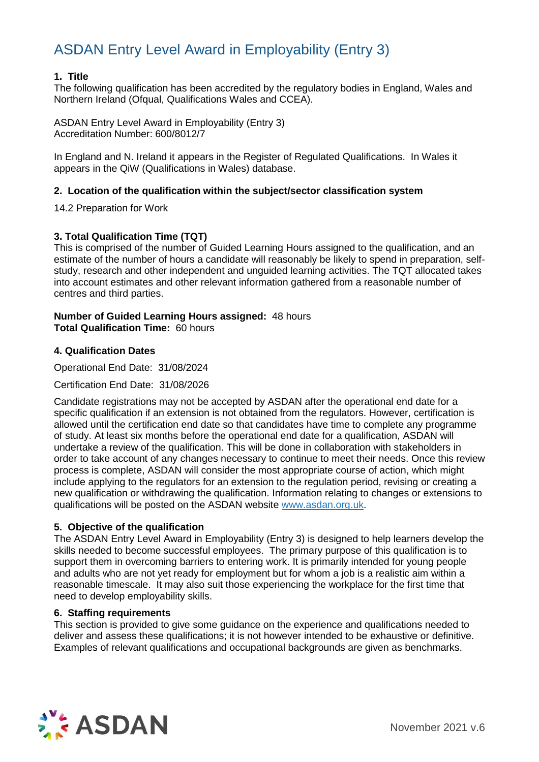#### **1. Title**

The following qualification has been accredited by the regulatory bodies in England, Wales and Northern Ireland (Ofqual, Qualifications Wales and CCEA).

ASDAN Entry Level Award in Employability (Entry 3) Accreditation Number: 600/8012/7

In England and N. Ireland it appears in the Register of Regulated Qualifications. In Wales it appears in the QiW (Qualifications in Wales) database.

#### **2. Location of the qualification within the subject/sector classification system**

14.2 Preparation for Work

#### **3. Total Qualification Time (TQT)**

This is comprised of the number of Guided Learning Hours assigned to the qualification, and an estimate of the number of hours a candidate will reasonably be likely to spend in preparation, selfstudy, research and other independent and unguided learning activities. The TQT allocated takes into account estimates and other relevant information gathered from a reasonable number of centres and third parties.

#### **Number of Guided Learning Hours assigned:** 48 hours **Total Qualification Time:** 60 hours

#### **4. Qualification Dates**

Operational End Date: 31/08/2024

Certification End Date: 31/08/2026

Candidate registrations may not be accepted by ASDAN after the operational end date for a specific qualification if an extension is not obtained from the regulators. However, certification is allowed until the certification end date so that candidates have time to complete any programme of study. At least six months before the operational end date for a qualification, ASDAN will undertake a review of the qualification. This will be done in collaboration with stakeholders in order to take account of any changes necessary to continue to meet their needs. Once this review process is complete, ASDAN will consider the most appropriate course of action, which might include applying to the regulators for an extension to the regulation period, revising or creating a new qualification or withdrawing the qualification. Information relating to changes or extensions to qualifications will be posted on the ASDAN website [www.asdan.org.uk.](http://www.asdan.org.uk/)

#### **5. Objective of the qualification**

The ASDAN Entry Level Award in Employability (Entry 3) is designed to help learners develop the skills needed to become successful employees. The primary purpose of this qualification is to support them in overcoming barriers to entering work. It is primarily intended for young people and adults who are not yet ready for employment but for whom a job is a realistic aim within a reasonable timescale. It may also suit those experiencing the workplace for the first time that need to develop employability skills.

#### **6. Staffing requirements**

This section is provided to give some guidance on the experience and qualifications needed to deliver and assess these qualifications; it is not however intended to be exhaustive or definitive. Examples of relevant qualifications and occupational backgrounds are given as benchmarks.

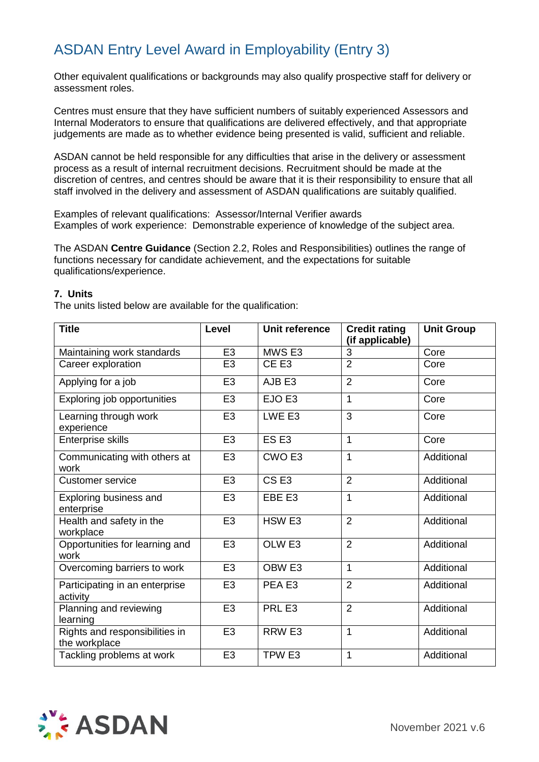Other equivalent qualifications or backgrounds may also qualify prospective staff for delivery or assessment roles.

Centres must ensure that they have sufficient numbers of suitably experienced Assessors and Internal Moderators to ensure that qualifications are delivered effectively, and that appropriate judgements are made as to whether evidence being presented is valid, sufficient and reliable.

ASDAN cannot be held responsible for any difficulties that arise in the delivery or assessment process as a result of internal recruitment decisions. Recruitment should be made at the discretion of centres, and centres should be aware that it is their responsibility to ensure that all staff involved in the delivery and assessment of ASDAN qualifications are suitably qualified.

Examples of relevant qualifications: Assessor/Internal Verifier awards Examples of work experience: Demonstrable experience of knowledge of the subject area.

The ASDAN **Centre Guidance** (Section 2.2, Roles and Responsibilities) outlines the range of functions necessary for candidate achievement, and the expectations for suitable qualifications/experience.

#### **7. Units**

The units listed below are available for the qualification:

| <b>Title</b>                                    | Level          | Unit reference    | <b>Credit rating</b><br>(if applicable) | <b>Unit Group</b> |
|-------------------------------------------------|----------------|-------------------|-----------------------------------------|-------------------|
| Maintaining work standards                      | E <sub>3</sub> | MWS <sub>E3</sub> | 3                                       | Core              |
| Career exploration                              | E <sub>3</sub> | CE <sub>E3</sub>  | $\overline{2}$                          | Core              |
| Applying for a job                              | E <sub>3</sub> | AJB <sub>E3</sub> | $\overline{2}$                          | Core              |
| Exploring job opportunities                     | E <sub>3</sub> | EJO <sub>E3</sub> | 1                                       | Core              |
| Learning through work<br>experience             | E <sub>3</sub> | LWE E3            | 3                                       | Core              |
| Enterprise skills                               | E <sub>3</sub> | ES <sub>E3</sub>  | 1                                       | Core              |
| Communicating with others at<br>work            | E <sub>3</sub> | CWO <sub>E3</sub> | 1                                       | Additional        |
| <b>Customer service</b>                         | E <sub>3</sub> | CS <sub>E3</sub>  | $\overline{2}$                          | Additional        |
| Exploring business and<br>enterprise            | E <sub>3</sub> | EBE E3            | $\mathbf{1}$                            | Additional        |
| Health and safety in the<br>workplace           | E <sub>3</sub> | HSW <sub>E3</sub> | $\overline{2}$                          | Additional        |
| Opportunities for learning and<br>work          | E <sub>3</sub> | OLW <sub>E3</sub> | $\overline{2}$                          | Additional        |
| Overcoming barriers to work                     | E <sub>3</sub> | OBW <sub>E3</sub> | 1                                       | Additional        |
| Participating in an enterprise<br>activity      | E <sub>3</sub> | PEA <sub>E3</sub> | $\overline{2}$                          | Additional        |
| Planning and reviewing<br>learning              | E <sub>3</sub> | PRL E3            | $\overline{2}$                          | Additional        |
| Rights and responsibilities in<br>the workplace | E <sub>3</sub> | RRW <sub>E3</sub> | $\mathbf{1}$                            | Additional        |
| Tackling problems at work                       | E <sub>3</sub> | TPW <sub>E3</sub> | 1                                       | Additional        |

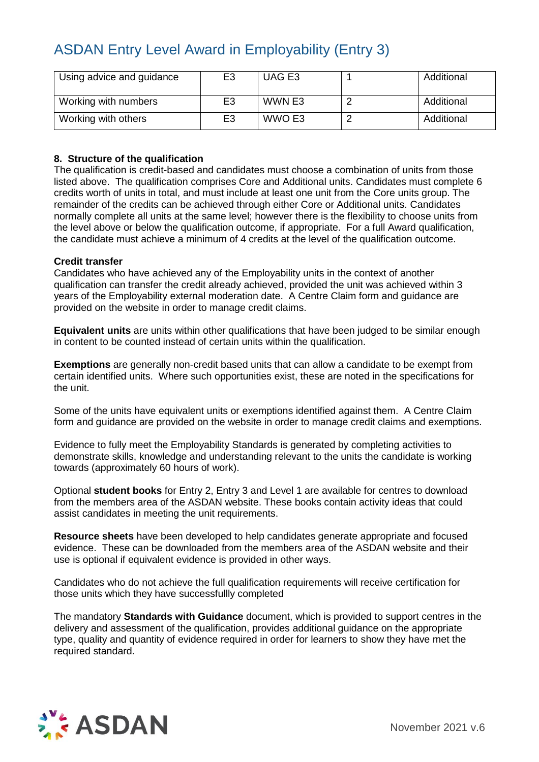| Using advice and guidance | E3             | UAG E3 | Additional |
|---------------------------|----------------|--------|------------|
| Working with numbers      | E3             | WWN E3 | Additional |
| Working with others       | E <sub>3</sub> | WWO E3 | Additional |

#### **8. Structure of the qualification**

The qualification is credit-based and candidates must choose a combination of units from those listed above. The qualification comprises Core and Additional units. Candidates must complete 6 credits worth of units in total, and must include at least one unit from the Core units group. The remainder of the credits can be achieved through either Core or Additional units. Candidates normally complete all units at the same level; however there is the flexibility to choose units from the level above or below the qualification outcome, if appropriate. For a full Award qualification, the candidate must achieve a minimum of 4 credits at the level of the qualification outcome.

#### **Credit transfer**

Candidates who have achieved any of the Employability units in the context of another qualification can transfer the credit already achieved, provided the unit was achieved within 3 years of the Employability external moderation date. A Centre Claim form and guidance are provided on the website in order to manage credit claims.

**Equivalent units** are units within other qualifications that have been judged to be similar enough in content to be counted instead of certain units within the qualification.

**Exemptions** are generally non-credit based units that can allow a candidate to be exempt from certain identified units. Where such opportunities exist, these are noted in the specifications for the unit.

Some of the units have equivalent units or exemptions identified against them. A Centre Claim form and guidance are provided on the website in order to manage credit claims and exemptions.

Evidence to fully meet the Employability Standards is generated by completing activities to demonstrate skills, knowledge and understanding relevant to the units the candidate is working towards (approximately 60 hours of work).

Optional **student books** for Entry 2, Entry 3 and Level 1 are available for centres to download from the members area of the ASDAN website. These books contain activity ideas that could assist candidates in meeting the unit requirements.

**Resource sheets** have been developed to help candidates generate appropriate and focused evidence. These can be downloaded from the members area of the ASDAN website and their use is optional if equivalent evidence is provided in other ways.

Candidates who do not achieve the full qualification requirements will receive certification for those units which they have successfullly completed

The mandatory **Standards with Guidance** document, which is provided to support centres in the delivery and assessment of the qualification, provides additional guidance on the appropriate type, quality and quantity of evidence required in order for learners to show they have met the required standard.

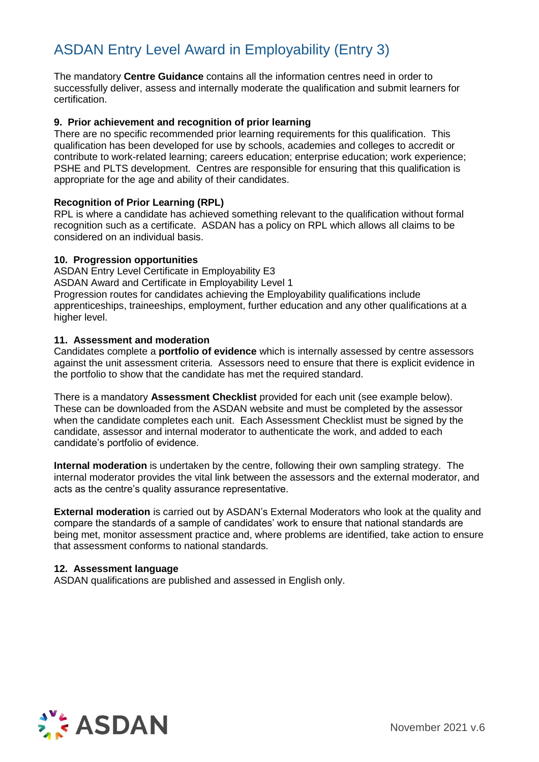The mandatory **Centre Guidance** contains all the information centres need in order to successfully deliver, assess and internally moderate the qualification and submit learners for certification.

#### **9. Prior achievement and recognition of prior learning**

There are no specific recommended prior learning requirements for this qualification. This qualification has been developed for use by schools, academies and colleges to accredit or contribute to work-related learning; careers education; enterprise education; work experience; PSHE and PLTS development. Centres are responsible for ensuring that this qualification is appropriate for the age and ability of their candidates.

#### **Recognition of Prior Learning (RPL)**

RPL is where a candidate has achieved something relevant to the qualification without formal recognition such as a certificate. ASDAN has a policy on RPL which allows all claims to be considered on an individual basis.

#### **10. Progression opportunities**

ASDAN Entry Level Certificate in Employability E3 ASDAN Award and Certificate in Employability Level 1 Progression routes for candidates achieving the Employability qualifications include apprenticeships, traineeships, employment, further education and any other qualifications at a higher level.

#### **11. Assessment and moderation**

Candidates complete a **portfolio of evidence** which is internally assessed by centre assessors against the unit assessment criteria. Assessors need to ensure that there is explicit evidence in the portfolio to show that the candidate has met the required standard.

There is a mandatory **Assessment Checklist** provided for each unit (see example below). These can be downloaded from the ASDAN website and must be completed by the assessor when the candidate completes each unit. Each Assessment Checklist must be signed by the candidate, assessor and internal moderator to authenticate the work, and added to each candidate's portfolio of evidence.

**Internal moderation** is undertaken by the centre, following their own sampling strategy. The internal moderator provides the vital link between the assessors and the external moderator, and acts as the centre's quality assurance representative.

**External moderation** is carried out by ASDAN's External Moderators who look at the quality and compare the standards of a sample of candidates' work to ensure that national standards are being met, monitor assessment practice and, where problems are identified, take action to ensure that assessment conforms to national standards.

#### **12. Assessment language**

ASDAN qualifications are published and assessed in English only.

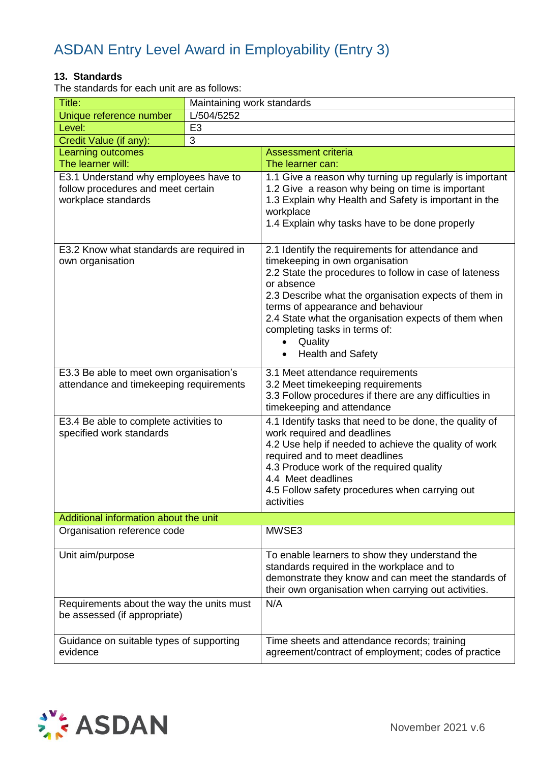#### **13. Standards**

The standards for each unit are as follows:

| Title:                                                                                             |                | Maintaining work standards                                                                                                                                                                                                                                                                                                                                                                                          |  |
|----------------------------------------------------------------------------------------------------|----------------|---------------------------------------------------------------------------------------------------------------------------------------------------------------------------------------------------------------------------------------------------------------------------------------------------------------------------------------------------------------------------------------------------------------------|--|
| Unique reference number                                                                            | L/504/5252     |                                                                                                                                                                                                                                                                                                                                                                                                                     |  |
| Level:                                                                                             | E <sub>3</sub> |                                                                                                                                                                                                                                                                                                                                                                                                                     |  |
| Credit Value (if any):                                                                             | 3              |                                                                                                                                                                                                                                                                                                                                                                                                                     |  |
| <b>Learning outcomes</b>                                                                           |                | <b>Assessment criteria</b>                                                                                                                                                                                                                                                                                                                                                                                          |  |
| The learner will:                                                                                  |                | The learner can:                                                                                                                                                                                                                                                                                                                                                                                                    |  |
| E3.1 Understand why employees have to<br>follow procedures and meet certain<br>workplace standards |                | 1.1 Give a reason why turning up regularly is important<br>1.2 Give a reason why being on time is important<br>1.3 Explain why Health and Safety is important in the<br>workplace<br>1.4 Explain why tasks have to be done properly                                                                                                                                                                                 |  |
| E3.2 Know what standards are required in<br>own organisation                                       |                | 2.1 Identify the requirements for attendance and<br>timekeeping in own organisation<br>2.2 State the procedures to follow in case of lateness<br>or absence<br>2.3 Describe what the organisation expects of them in<br>terms of appearance and behaviour<br>2.4 State what the organisation expects of them when<br>completing tasks in terms of:<br>Quality<br>$\bullet$<br><b>Health and Safety</b><br>$\bullet$ |  |
| E3.3 Be able to meet own organisation's<br>attendance and timekeeping requirements                 |                | 3.1 Meet attendance requirements<br>3.2 Meet timekeeping requirements<br>3.3 Follow procedures if there are any difficulties in<br>timekeeping and attendance                                                                                                                                                                                                                                                       |  |
| E3.4 Be able to complete activities to<br>specified work standards                                 |                | 4.1 Identify tasks that need to be done, the quality of<br>work required and deadlines<br>4.2 Use help if needed to achieve the quality of work<br>required and to meet deadlines<br>4.3 Produce work of the required quality<br>4.4 Meet deadlines<br>4.5 Follow safety procedures when carrying out<br>activities                                                                                                 |  |
| Additional information about the unit                                                              |                |                                                                                                                                                                                                                                                                                                                                                                                                                     |  |
| Organisation reference code                                                                        |                | MWSE3                                                                                                                                                                                                                                                                                                                                                                                                               |  |
| Unit aim/purpose                                                                                   |                | To enable learners to show they understand the<br>standards required in the workplace and to<br>demonstrate they know and can meet the standards of<br>their own organisation when carrying out activities.                                                                                                                                                                                                         |  |
| Requirements about the way the units must<br>be assessed (if appropriate)                          |                | N/A                                                                                                                                                                                                                                                                                                                                                                                                                 |  |
| Guidance on suitable types of supporting<br>evidence                                               |                | Time sheets and attendance records; training<br>agreement/contract of employment; codes of practice                                                                                                                                                                                                                                                                                                                 |  |

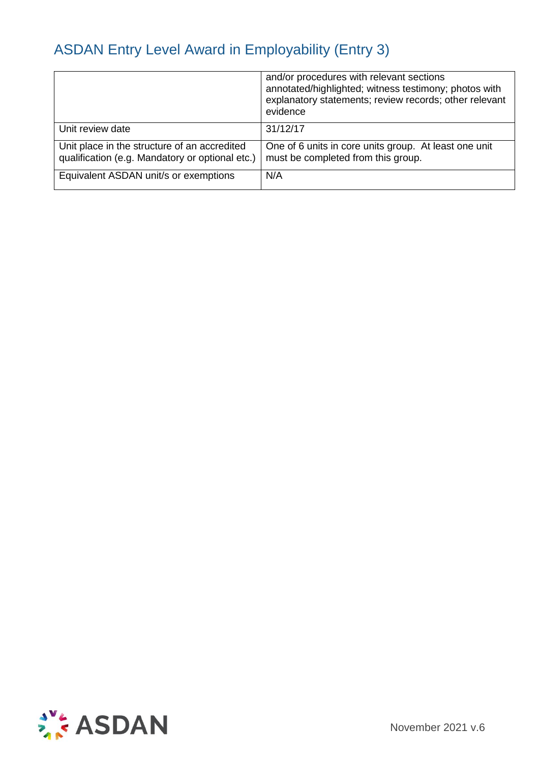|                                                                                                 | and/or procedures with relevant sections<br>annotated/highlighted; witness testimony; photos with<br>explanatory statements; review records; other relevant<br>evidence |
|-------------------------------------------------------------------------------------------------|-------------------------------------------------------------------------------------------------------------------------------------------------------------------------|
| Unit review date                                                                                | 31/12/17                                                                                                                                                                |
| Unit place in the structure of an accredited<br>qualification (e.g. Mandatory or optional etc.) | One of 6 units in core units group. At least one unit<br>must be completed from this group.                                                                             |
| Equivalent ASDAN unit/s or exemptions                                                           | N/A                                                                                                                                                                     |

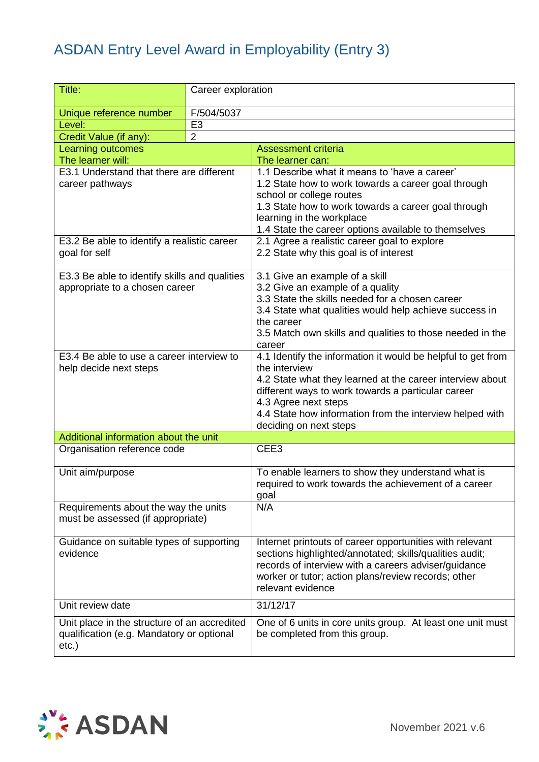| Title:                                                              | Career exploration |                                                                                                                 |
|---------------------------------------------------------------------|--------------------|-----------------------------------------------------------------------------------------------------------------|
| Unique reference number                                             | F/504/5037         |                                                                                                                 |
| Level:                                                              | E <sub>3</sub>     |                                                                                                                 |
| Credit Value (if any):                                              | $\overline{2}$     |                                                                                                                 |
| Learning outcomes                                                   |                    | Assessment criteria                                                                                             |
| The learner will:                                                   |                    | The learner can:                                                                                                |
| E3.1 Understand that there are different                            |                    | 1.1 Describe what it means to 'have a career'                                                                   |
| career pathways                                                     |                    | 1.2 State how to work towards a career goal through                                                             |
|                                                                     |                    | school or college routes                                                                                        |
|                                                                     |                    | 1.3 State how to work towards a career goal through<br>learning in the workplace                                |
|                                                                     |                    | 1.4 State the career options available to themselves                                                            |
| E3.2 Be able to identify a realistic career                         |                    | 2.1 Agree a realistic career goal to explore                                                                    |
| goal for self                                                       |                    | 2.2 State why this goal is of interest                                                                          |
|                                                                     |                    |                                                                                                                 |
| E3.3 Be able to identify skills and qualities                       |                    | 3.1 Give an example of a skill                                                                                  |
| appropriate to a chosen career                                      |                    | 3.2 Give an example of a quality                                                                                |
|                                                                     |                    | 3.3 State the skills needed for a chosen career                                                                 |
|                                                                     |                    | 3.4 State what qualities would help achieve success in                                                          |
|                                                                     |                    | the career                                                                                                      |
|                                                                     |                    | 3.5 Match own skills and qualities to those needed in the                                                       |
|                                                                     |                    | career                                                                                                          |
| E3.4 Be able to use a career interview to<br>help decide next steps |                    | 4.1 Identify the information it would be helpful to get from<br>the interview                                   |
|                                                                     |                    | 4.2 State what they learned at the career interview about                                                       |
|                                                                     |                    | different ways to work towards a particular career                                                              |
|                                                                     |                    | 4.3 Agree next steps                                                                                            |
|                                                                     |                    | 4.4 State how information from the interview helped with                                                        |
|                                                                     |                    | deciding on next steps                                                                                          |
| Additional information about the unit                               |                    |                                                                                                                 |
| Organisation reference code                                         |                    | CEE3                                                                                                            |
| Unit aim/purpose                                                    |                    | To enable learners to show they understand what is                                                              |
|                                                                     |                    | required to work towards the achievement of a career                                                            |
|                                                                     |                    | goal                                                                                                            |
| Requirements about the way the units                                |                    | N/A                                                                                                             |
| must be assessed (if appropriate)                                   |                    |                                                                                                                 |
|                                                                     |                    |                                                                                                                 |
| Guidance on suitable types of supporting                            |                    | Internet printouts of career opportunities with relevant                                                        |
| evidence                                                            |                    | sections highlighted/annotated; skills/qualities audit;<br>records of interview with a careers adviser/guidance |
|                                                                     |                    | worker or tutor; action plans/review records; other                                                             |
|                                                                     |                    | relevant evidence                                                                                               |
| Unit review date                                                    |                    | 31/12/17                                                                                                        |
|                                                                     |                    |                                                                                                                 |
| Unit place in the structure of an accredited                        |                    | One of 6 units in core units group. At least one unit must                                                      |
| qualification (e.g. Mandatory or optional                           |                    | be completed from this group.                                                                                   |
| $etc.$ )                                                            |                    |                                                                                                                 |

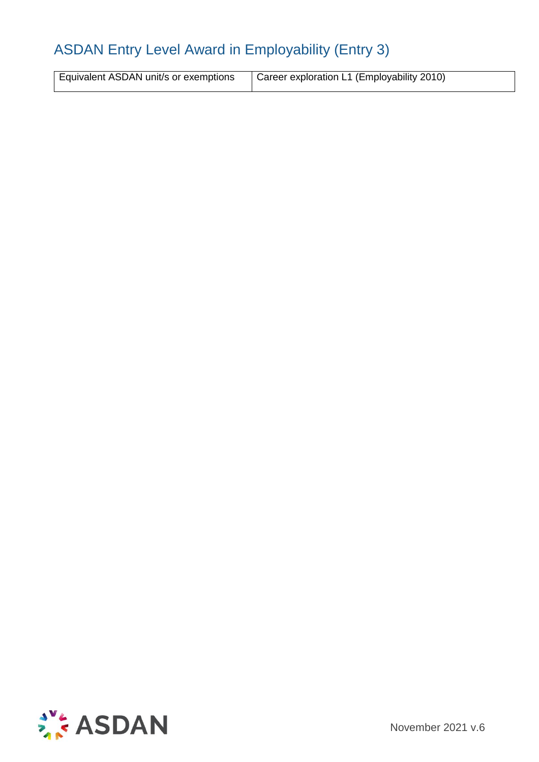| Equivalent ASDAN unit/s or exemptions   Career exploration L1 (Employability 2010) |
|------------------------------------------------------------------------------------|

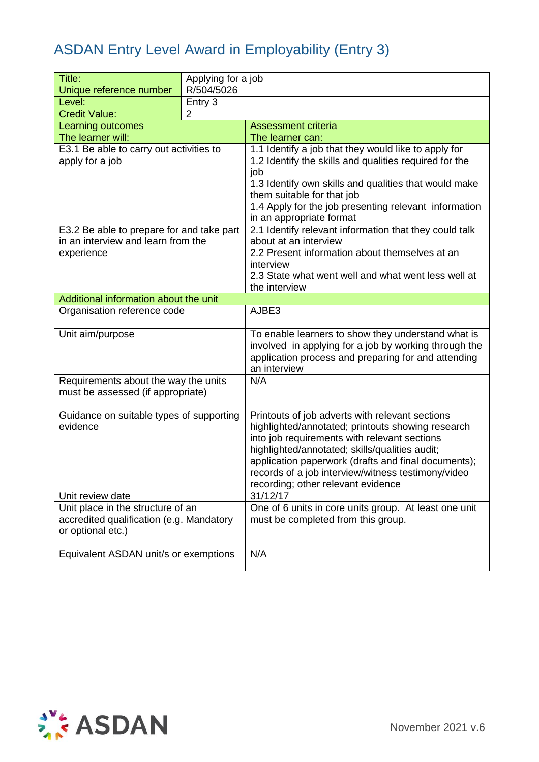| Title:                                                                          | Applying for a job |                                                                         |
|---------------------------------------------------------------------------------|--------------------|-------------------------------------------------------------------------|
| Unique reference number                                                         | R/504/5026         |                                                                         |
| Level:                                                                          | Entry 3            |                                                                         |
| <b>Credit Value:</b>                                                            | $\overline{2}$     |                                                                         |
| Learning outcomes                                                               |                    | <b>Assessment criteria</b>                                              |
| The learner will:                                                               |                    | The learner can:                                                        |
| E3.1 Be able to carry out activities to                                         |                    | 1.1 Identify a job that they would like to apply for                    |
| apply for a job                                                                 |                    | 1.2 Identify the skills and qualities required for the                  |
|                                                                                 |                    | job                                                                     |
|                                                                                 |                    | 1.3 Identify own skills and qualities that would make                   |
|                                                                                 |                    | them suitable for that job                                              |
|                                                                                 |                    | 1.4 Apply for the job presenting relevant information                   |
|                                                                                 |                    | in an appropriate format                                                |
| E3.2 Be able to prepare for and take part<br>in an interview and learn from the |                    | 2.1 Identify relevant information that they could talk                  |
| experience                                                                      |                    | about at an interview<br>2.2 Present information about themselves at an |
|                                                                                 |                    | interview                                                               |
|                                                                                 |                    | 2.3 State what went well and what went less well at                     |
|                                                                                 |                    | the interview                                                           |
| Additional information about the unit                                           |                    |                                                                         |
| Organisation reference code                                                     |                    | AJBE3                                                                   |
|                                                                                 |                    |                                                                         |
| Unit aim/purpose                                                                |                    | To enable learners to show they understand what is                      |
|                                                                                 |                    | involved in applying for a job by working through the                   |
|                                                                                 |                    | application process and preparing for and attending                     |
|                                                                                 |                    | an interview                                                            |
| Requirements about the way the units                                            |                    | N/A                                                                     |
| must be assessed (if appropriate)                                               |                    |                                                                         |
| Guidance on suitable types of supporting                                        |                    | Printouts of job adverts with relevant sections                         |
| evidence                                                                        |                    | highlighted/annotated; printouts showing research                       |
|                                                                                 |                    | into job requirements with relevant sections                            |
|                                                                                 |                    | highlighted/annotated; skills/qualities audit;                          |
|                                                                                 |                    | application paperwork (drafts and final documents);                     |
|                                                                                 |                    | records of a job interview/witness testimony/video                      |
|                                                                                 |                    | recording; other relevant evidence                                      |
| Unit review date                                                                |                    | 31/12/17                                                                |
| Unit place in the structure of an                                               |                    | One of 6 units in core units group. At least one unit                   |
| accredited qualification (e.g. Mandatory                                        |                    | must be completed from this group.                                      |
| or optional etc.)                                                               |                    |                                                                         |
| Equivalent ASDAN unit/s or exemptions                                           |                    | N/A                                                                     |
|                                                                                 |                    |                                                                         |
|                                                                                 |                    |                                                                         |

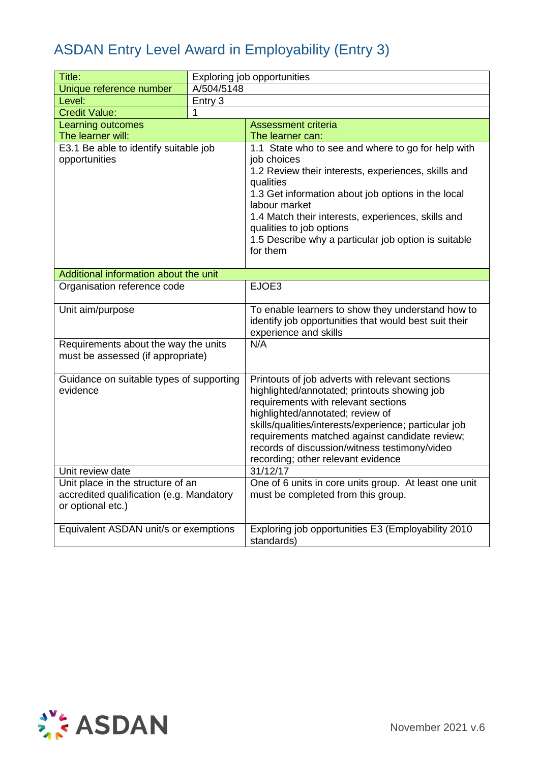| Title:                                                                                             |            | Exploring job opportunities                                                                                                                                                                                                                                                                                                                                                  |
|----------------------------------------------------------------------------------------------------|------------|------------------------------------------------------------------------------------------------------------------------------------------------------------------------------------------------------------------------------------------------------------------------------------------------------------------------------------------------------------------------------|
| Unique reference number                                                                            | A/504/5148 |                                                                                                                                                                                                                                                                                                                                                                              |
| Level:                                                                                             | Entry 3    |                                                                                                                                                                                                                                                                                                                                                                              |
| <b>Credit Value:</b>                                                                               | 1          |                                                                                                                                                                                                                                                                                                                                                                              |
| Learning outcomes                                                                                  |            | <b>Assessment criteria</b>                                                                                                                                                                                                                                                                                                                                                   |
| The learner will:                                                                                  |            | The learner can:                                                                                                                                                                                                                                                                                                                                                             |
| E3.1 Be able to identify suitable job<br>opportunities                                             |            | 1.1 State who to see and where to go for help with<br>job choices<br>1.2 Review their interests, experiences, skills and<br>qualities<br>1.3 Get information about job options in the local<br>labour market<br>1.4 Match their interests, experiences, skills and<br>qualities to job options<br>1.5 Describe why a particular job option is suitable<br>for them           |
| Additional information about the unit                                                              |            |                                                                                                                                                                                                                                                                                                                                                                              |
| Organisation reference code                                                                        |            | EJOE3                                                                                                                                                                                                                                                                                                                                                                        |
| Unit aim/purpose                                                                                   |            | To enable learners to show they understand how to<br>identify job opportunities that would best suit their<br>experience and skills                                                                                                                                                                                                                                          |
| Requirements about the way the units<br>must be assessed (if appropriate)                          |            | N/A                                                                                                                                                                                                                                                                                                                                                                          |
| Guidance on suitable types of supporting<br>evidence                                               |            | Printouts of job adverts with relevant sections<br>highlighted/annotated; printouts showing job<br>requirements with relevant sections<br>highlighted/annotated; review of<br>skills/qualities/interests/experience; particular job<br>requirements matched against candidate review;<br>records of discussion/witness testimony/video<br>recording; other relevant evidence |
| Unit review date                                                                                   |            | 31/12/17                                                                                                                                                                                                                                                                                                                                                                     |
| Unit place in the structure of an<br>accredited qualification (e.g. Mandatory<br>or optional etc.) |            | One of 6 units in core units group. At least one unit<br>must be completed from this group.                                                                                                                                                                                                                                                                                  |
| Equivalent ASDAN unit/s or exemptions                                                              |            | Exploring job opportunities E3 (Employability 2010<br>standards)                                                                                                                                                                                                                                                                                                             |

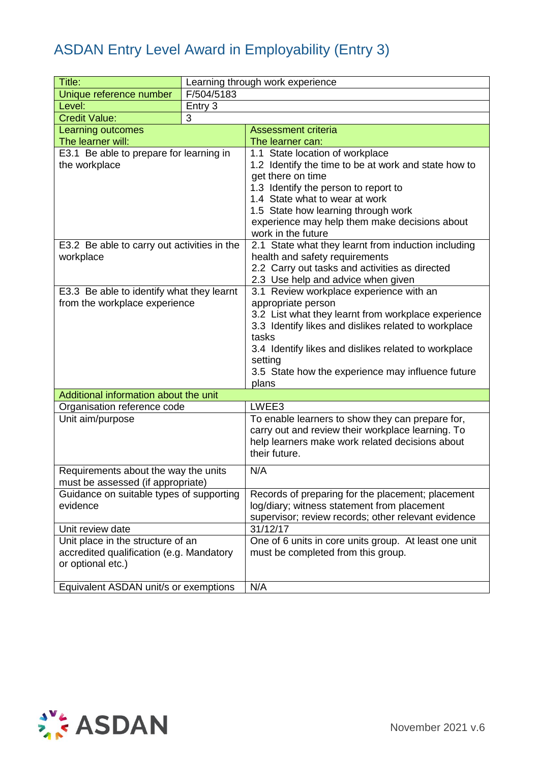| Title:                                                                    |            | Learning through work experience                                              |
|---------------------------------------------------------------------------|------------|-------------------------------------------------------------------------------|
| Unique reference number                                                   | F/504/5183 |                                                                               |
| Level:                                                                    | Entry 3    |                                                                               |
| <b>Credit Value:</b>                                                      | 3          |                                                                               |
| Learning outcomes                                                         |            | <b>Assessment criteria</b>                                                    |
| The learner will:                                                         |            | The learner can:                                                              |
| E3.1 Be able to prepare for learning in                                   |            | 1.1 State location of workplace                                               |
| the workplace                                                             |            | 1.2 Identify the time to be at work and state how to                          |
|                                                                           |            | get there on time                                                             |
|                                                                           |            | 1.3 Identify the person to report to                                          |
|                                                                           |            | 1.4 State what to wear at work                                                |
|                                                                           |            | 1.5 State how learning through work                                           |
|                                                                           |            | experience may help them make decisions about                                 |
|                                                                           |            | work in the future                                                            |
| E3.2 Be able to carry out activities in the                               |            | 2.1 State what they learnt from induction including                           |
| workplace                                                                 |            | health and safety requirements                                                |
|                                                                           |            | 2.2 Carry out tasks and activities as directed                                |
| E3.3 Be able to identify what they learnt                                 |            | 2.3 Use help and advice when given<br>3.1 Review workplace experience with an |
| from the workplace experience                                             |            | appropriate person                                                            |
|                                                                           |            | 3.2 List what they learnt from workplace experience                           |
|                                                                           |            | 3.3 Identify likes and dislikes related to workplace                          |
|                                                                           |            | tasks                                                                         |
|                                                                           |            | 3.4 Identify likes and dislikes related to workplace                          |
|                                                                           |            | setting                                                                       |
|                                                                           |            | 3.5 State how the experience may influence future                             |
|                                                                           |            | plans                                                                         |
| Additional information about the unit                                     |            |                                                                               |
| Organisation reference code                                               |            | LWEE3                                                                         |
| Unit aim/purpose                                                          |            | To enable learners to show they can prepare for,                              |
|                                                                           |            | carry out and review their workplace learning. To                             |
|                                                                           |            | help learners make work related decisions about                               |
|                                                                           |            | their future.                                                                 |
|                                                                           |            | N/A                                                                           |
| Requirements about the way the units<br>must be assessed (if appropriate) |            |                                                                               |
| Guidance on suitable types of supporting                                  |            | Records of preparing for the placement; placement                             |
| evidence                                                                  |            | log/diary; witness statement from placement                                   |
|                                                                           |            | supervisor; review records; other relevant evidence                           |
| Unit review date                                                          |            | 31/12/17                                                                      |
| Unit place in the structure of an                                         |            | One of 6 units in core units group. At least one unit                         |
| accredited qualification (e.g. Mandatory                                  |            | must be completed from this group.                                            |
| or optional etc.)                                                         |            |                                                                               |
|                                                                           |            |                                                                               |
| Equivalent ASDAN unit/s or exemptions                                     |            | N/A                                                                           |

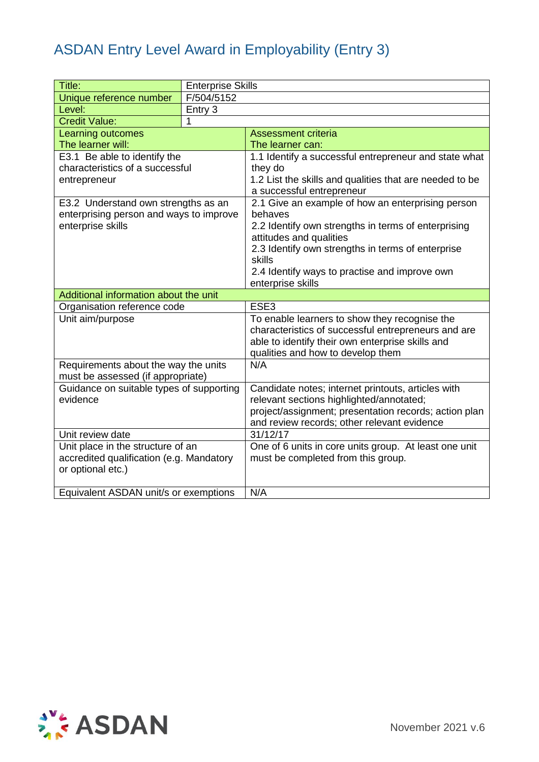| Title:                                   | <b>Enterprise Skills</b> |                                                                                                      |
|------------------------------------------|--------------------------|------------------------------------------------------------------------------------------------------|
| Unique reference number                  | F/504/5152               |                                                                                                      |
| Level:                                   | Entry 3                  |                                                                                                      |
| <b>Credit Value:</b>                     | 1                        |                                                                                                      |
| Learning outcomes                        |                          | Assessment criteria                                                                                  |
| The learner will:                        |                          | The learner can:                                                                                     |
| E3.1 Be able to identify the             |                          | 1.1 Identify a successful entrepreneur and state what                                                |
| characteristics of a successful          |                          | they do                                                                                              |
| entrepreneur                             |                          | 1.2 List the skills and qualities that are needed to be                                              |
|                                          |                          | a successful entrepreneur                                                                            |
| E3.2 Understand own strengths as an      |                          | 2.1 Give an example of how an enterprising person                                                    |
| enterprising person and ways to improve  |                          | behaves                                                                                              |
| enterprise skills                        |                          | 2.2 Identify own strengths in terms of enterprising<br>attitudes and qualities                       |
|                                          |                          | 2.3 Identify own strengths in terms of enterprise                                                    |
|                                          |                          | skills                                                                                               |
|                                          |                          | 2.4 Identify ways to practise and improve own                                                        |
|                                          |                          | enterprise skills                                                                                    |
| Additional information about the unit    |                          |                                                                                                      |
| Organisation reference code              |                          | ESE3                                                                                                 |
| Unit aim/purpose                         |                          | To enable learners to show they recognise the                                                        |
|                                          |                          | characteristics of successful entrepreneurs and are                                                  |
|                                          |                          | able to identify their own enterprise skills and                                                     |
|                                          |                          | qualities and how to develop them                                                                    |
| Requirements about the way the units     |                          | N/A                                                                                                  |
| must be assessed (if appropriate)        |                          |                                                                                                      |
| Guidance on suitable types of supporting |                          | Candidate notes; internet printouts, articles with                                                   |
| evidence                                 |                          | relevant sections highlighted/annotated;                                                             |
|                                          |                          | project/assignment; presentation records; action plan<br>and review records; other relevant evidence |
| Unit review date                         |                          | 31/12/17                                                                                             |
| Unit place in the structure of an        |                          | One of 6 units in core units group. At least one unit                                                |
| accredited qualification (e.g. Mandatory |                          | must be completed from this group.                                                                   |
| or optional etc.)                        |                          |                                                                                                      |
|                                          |                          |                                                                                                      |
| Equivalent ASDAN unit/s or exemptions    |                          | N/A                                                                                                  |

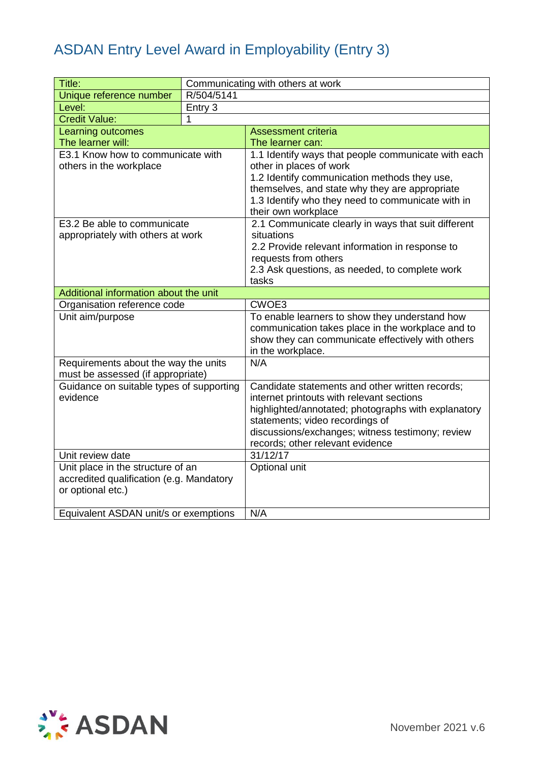| Title:                                   |            | Communicating with others at work                       |
|------------------------------------------|------------|---------------------------------------------------------|
| Unique reference number                  | R/504/5141 |                                                         |
| Level:                                   | Entry 3    |                                                         |
| <b>Credit Value:</b>                     | 1          |                                                         |
| <b>Learning outcomes</b>                 |            | Assessment criteria                                     |
| The learner will:                        |            | The learner can:                                        |
| E3.1 Know how to communicate with        |            | 1.1 Identify ways that people communicate with each     |
| others in the workplace                  |            | other in places of work                                 |
|                                          |            | 1.2 Identify communication methods they use,            |
|                                          |            | themselves, and state why they are appropriate          |
|                                          |            | 1.3 Identify who they need to communicate with in       |
|                                          |            | their own workplace                                     |
| E3.2 Be able to communicate              |            | 2.1 Communicate clearly in ways that suit different     |
| appropriately with others at work        |            | situations                                              |
|                                          |            | 2.2 Provide relevant information in response to         |
|                                          |            | requests from others                                    |
|                                          |            | 2.3 Ask questions, as needed, to complete work<br>tasks |
| Additional information about the unit    |            |                                                         |
| Organisation reference code              |            | CWOE3                                                   |
| Unit aim/purpose                         |            | To enable learners to show they understand how          |
|                                          |            | communication takes place in the workplace and to       |
|                                          |            | show they can communicate effectively with others       |
|                                          |            | in the workplace.                                       |
| Requirements about the way the units     |            | N/A                                                     |
| must be assessed (if appropriate)        |            |                                                         |
| Guidance on suitable types of supporting |            | Candidate statements and other written records;         |
| evidence                                 |            | internet printouts with relevant sections               |
|                                          |            | highlighted/annotated; photographs with explanatory     |
|                                          |            | statements; video recordings of                         |
|                                          |            | discussions/exchanges; witness testimony; review        |
|                                          |            | records; other relevant evidence                        |
| Unit review date                         |            | 31/12/17                                                |
| Unit place in the structure of an        |            | Optional unit                                           |
| accredited qualification (e.g. Mandatory |            |                                                         |
| or optional etc.)                        |            |                                                         |
|                                          |            |                                                         |
| Equivalent ASDAN unit/s or exemptions    |            | N/A                                                     |

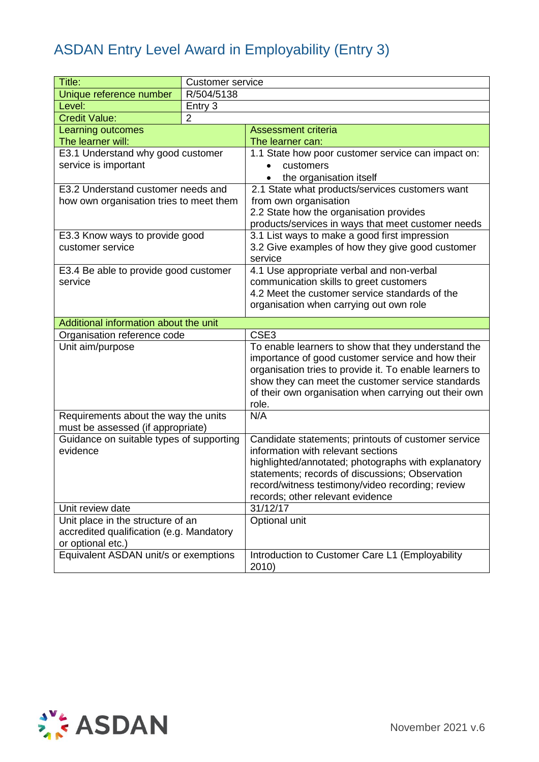| Title:                                               | <b>Customer service</b> |                                                                                                        |
|------------------------------------------------------|-------------------------|--------------------------------------------------------------------------------------------------------|
| Unique reference number                              | R/504/5138              |                                                                                                        |
| Level:                                               | Entry 3                 |                                                                                                        |
| <b>Credit Value:</b>                                 | $\overline{2}$          |                                                                                                        |
| Learning outcomes                                    |                         | <b>Assessment criteria</b>                                                                             |
| The learner will:                                    |                         | The learner can:                                                                                       |
| E3.1 Understand why good customer                    |                         | 1.1 State how poor customer service can impact on:                                                     |
| service is important                                 |                         | customers                                                                                              |
|                                                      |                         | the organisation itself                                                                                |
| E3.2 Understand customer needs and                   |                         | 2.1 State what products/services customers want                                                        |
| how own organisation tries to meet them              |                         | from own organisation                                                                                  |
|                                                      |                         | 2.2 State how the organisation provides                                                                |
|                                                      |                         | products/services in ways that meet customer needs                                                     |
| E3.3 Know ways to provide good                       |                         | 3.1 List ways to make a good first impression                                                          |
| customer service                                     |                         | 3.2 Give examples of how they give good customer                                                       |
|                                                      |                         | service                                                                                                |
| E3.4 Be able to provide good customer                |                         | 4.1 Use appropriate verbal and non-verbal                                                              |
| service                                              |                         | communication skills to greet customers                                                                |
|                                                      |                         | 4.2 Meet the customer service standards of the                                                         |
|                                                      |                         | organisation when carrying out own role                                                                |
| Additional information about the unit                |                         |                                                                                                        |
| Organisation reference code                          |                         | CSE3                                                                                                   |
| Unit aim/purpose                                     |                         | To enable learners to show that they understand the                                                    |
|                                                      |                         | importance of good customer service and how their                                                      |
|                                                      |                         | organisation tries to provide it. To enable learners to                                                |
|                                                      |                         | show they can meet the customer service standards                                                      |
|                                                      |                         | of their own organisation when carrying out their own                                                  |
|                                                      |                         | role.                                                                                                  |
| Requirements about the way the units                 |                         | N/A                                                                                                    |
| must be assessed (if appropriate)                    |                         |                                                                                                        |
| Guidance on suitable types of supporting<br>evidence |                         | Candidate statements; printouts of customer service<br>information with relevant sections              |
|                                                      |                         |                                                                                                        |
|                                                      |                         | highlighted/annotated; photographs with explanatory<br>statements; records of discussions; Observation |
|                                                      |                         | record/witness testimony/video recording; review                                                       |
|                                                      |                         | records; other relevant evidence                                                                       |
| Unit review date                                     |                         | 31/12/17                                                                                               |
| Unit place in the structure of an                    |                         | Optional unit                                                                                          |
| accredited qualification (e.g. Mandatory             |                         |                                                                                                        |
| or optional etc.)                                    |                         |                                                                                                        |
| Equivalent ASDAN unit/s or exemptions                |                         | Introduction to Customer Care L1 (Employability                                                        |
|                                                      |                         | 2010)                                                                                                  |

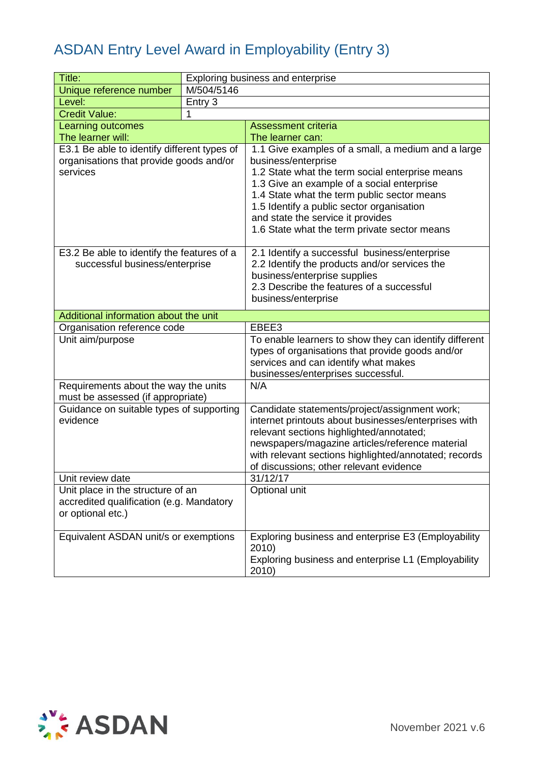| Title:                                                                                             |            | Exploring business and enterprise                                                                                                                                                                                                                                                                                                                           |
|----------------------------------------------------------------------------------------------------|------------|-------------------------------------------------------------------------------------------------------------------------------------------------------------------------------------------------------------------------------------------------------------------------------------------------------------------------------------------------------------|
| Unique reference number                                                                            | M/504/5146 |                                                                                                                                                                                                                                                                                                                                                             |
| Level:                                                                                             | Entry 3    |                                                                                                                                                                                                                                                                                                                                                             |
| <b>Credit Value:</b>                                                                               | 1          |                                                                                                                                                                                                                                                                                                                                                             |
| Learning outcomes                                                                                  |            | <b>Assessment criteria</b>                                                                                                                                                                                                                                                                                                                                  |
| The learner will:                                                                                  |            | The learner can:                                                                                                                                                                                                                                                                                                                                            |
| E3.1 Be able to identify different types of<br>organisations that provide goods and/or<br>services |            | 1.1 Give examples of a small, a medium and a large<br>business/enterprise<br>1.2 State what the term social enterprise means<br>1.3 Give an example of a social enterprise<br>1.4 State what the term public sector means<br>1.5 Identify a public sector organisation<br>and state the service it provides<br>1.6 State what the term private sector means |
| E3.2 Be able to identify the features of a<br>successful business/enterprise                       |            | 2.1 Identify a successful business/enterprise<br>2.2 Identify the products and/or services the<br>business/enterprise supplies<br>2.3 Describe the features of a successful<br>business/enterprise                                                                                                                                                          |
| Additional information about the unit                                                              |            |                                                                                                                                                                                                                                                                                                                                                             |
| Organisation reference code                                                                        |            | EBEE3                                                                                                                                                                                                                                                                                                                                                       |
| Unit aim/purpose                                                                                   |            | To enable learners to show they can identify different<br>types of organisations that provide goods and/or<br>services and can identify what makes<br>businesses/enterprises successful.                                                                                                                                                                    |
| Requirements about the way the units<br>must be assessed (if appropriate)                          |            | N/A                                                                                                                                                                                                                                                                                                                                                         |
| Guidance on suitable types of supporting<br>evidence                                               |            | Candidate statements/project/assignment work;<br>internet printouts about businesses/enterprises with<br>relevant sections highlighted/annotated;<br>newspapers/magazine articles/reference material<br>with relevant sections highlighted/annotated; records<br>of discussions; other relevant evidence                                                    |
| Unit review date                                                                                   |            | 31/12/17                                                                                                                                                                                                                                                                                                                                                    |
| Unit place in the structure of an<br>accredited qualification (e.g. Mandatory<br>or optional etc.) |            | Optional unit                                                                                                                                                                                                                                                                                                                                               |
| Equivalent ASDAN unit/s or exemptions                                                              |            | Exploring business and enterprise E3 (Employability<br>2010)<br>Exploring business and enterprise L1 (Employability<br>2010)                                                                                                                                                                                                                                |

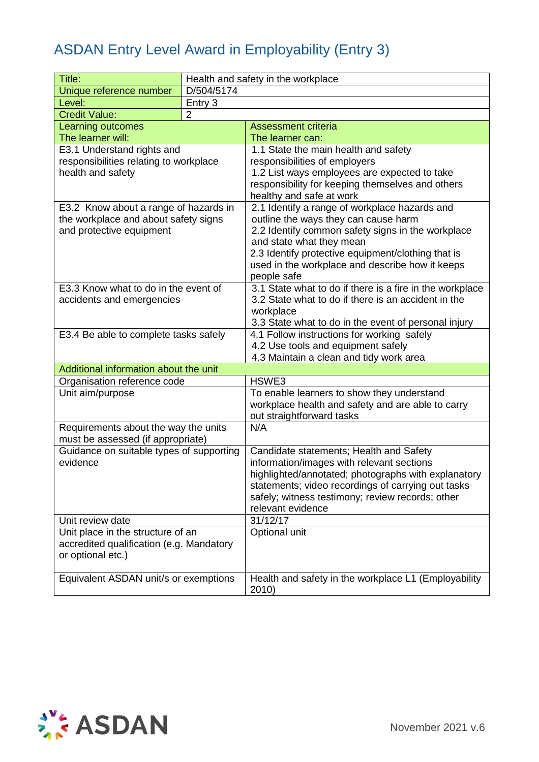| Title:                                                                        |                | Health and safety in the workplace                                                   |
|-------------------------------------------------------------------------------|----------------|--------------------------------------------------------------------------------------|
| Unique reference number                                                       | D/504/5174     |                                                                                      |
| Level:                                                                        | Entry 3        |                                                                                      |
| <b>Credit Value:</b>                                                          | $\overline{2}$ |                                                                                      |
| <b>Learning outcomes</b>                                                      |                | <b>Assessment criteria</b>                                                           |
| The learner will:                                                             |                | The learner can:                                                                     |
| E3.1 Understand rights and                                                    |                | 1.1 State the main health and safety                                                 |
| responsibilities relating to workplace                                        |                | responsibilities of employers                                                        |
| health and safety                                                             |                | 1.2 List ways employees are expected to take                                         |
|                                                                               |                | responsibility for keeping themselves and others                                     |
|                                                                               |                | healthy and safe at work                                                             |
| E3.2 Know about a range of hazards in                                         |                | 2.1 Identify a range of workplace hazards and                                        |
| the workplace and about safety signs                                          |                | outline the ways they can cause harm                                                 |
| and protective equipment                                                      |                | 2.2 Identify common safety signs in the workplace                                    |
|                                                                               |                | and state what they mean<br>2.3 Identify protective equipment/clothing that is       |
|                                                                               |                | used in the workplace and describe how it keeps                                      |
|                                                                               |                | people safe                                                                          |
| E3.3 Know what to do in the event of                                          |                | 3.1 State what to do if there is a fire in the workplace                             |
| accidents and emergencies                                                     |                | 3.2 State what to do if there is an accident in the                                  |
|                                                                               |                | workplace                                                                            |
|                                                                               |                | 3.3 State what to do in the event of personal injury                                 |
| E3.4 Be able to complete tasks safely                                         |                | 4.1 Follow instructions for working safely                                           |
|                                                                               |                | 4.2 Use tools and equipment safely                                                   |
|                                                                               |                | 4.3 Maintain a clean and tidy work area                                              |
| Additional information about the unit                                         |                |                                                                                      |
| Organisation reference code                                                   |                | HSWE3                                                                                |
| Unit aim/purpose                                                              |                | To enable learners to show they understand                                           |
|                                                                               |                | workplace health and safety and are able to carry                                    |
|                                                                               |                | out straightforward tasks                                                            |
| Requirements about the way the units                                          |                | N/A                                                                                  |
| must be assessed (if appropriate)<br>Guidance on suitable types of supporting |                |                                                                                      |
| evidence                                                                      |                | Candidate statements; Health and Safety<br>information/images with relevant sections |
|                                                                               |                | highlighted/annotated; photographs with explanatory                                  |
|                                                                               |                | statements; video recordings of carrying out tasks                                   |
|                                                                               |                | safely; witness testimony; review records; other                                     |
|                                                                               |                | relevant evidence                                                                    |
| Unit review date                                                              |                | 31/12/17                                                                             |
| Unit place in the structure of an                                             |                | Optional unit                                                                        |
| accredited qualification (e.g. Mandatory                                      |                |                                                                                      |
| or optional etc.)                                                             |                |                                                                                      |
|                                                                               |                |                                                                                      |
| Equivalent ASDAN unit/s or exemptions                                         |                | Health and safety in the workplace L1 (Employability                                 |
|                                                                               |                | 2010)                                                                                |

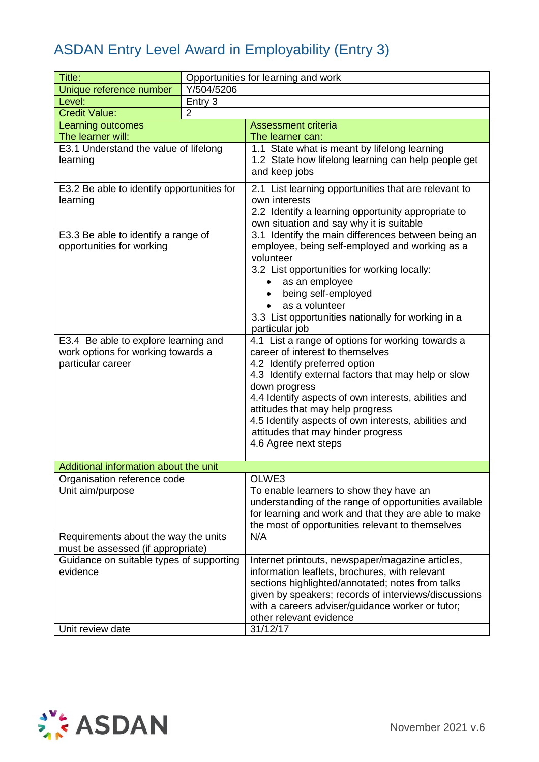| Title:                                                                                                                                                              | Opportunities for learning and work |                                                                                                                                                                                                                                                                                                                                                                                                                                                                                                       |
|---------------------------------------------------------------------------------------------------------------------------------------------------------------------|-------------------------------------|-------------------------------------------------------------------------------------------------------------------------------------------------------------------------------------------------------------------------------------------------------------------------------------------------------------------------------------------------------------------------------------------------------------------------------------------------------------------------------------------------------|
| Unique reference number                                                                                                                                             | Y/504/5206                          |                                                                                                                                                                                                                                                                                                                                                                                                                                                                                                       |
| Level:                                                                                                                                                              | Entry 3                             |                                                                                                                                                                                                                                                                                                                                                                                                                                                                                                       |
| $\overline{2}$<br><b>Credit Value:</b>                                                                                                                              |                                     |                                                                                                                                                                                                                                                                                                                                                                                                                                                                                                       |
| Learning outcomes                                                                                                                                                   |                                     | <b>Assessment criteria</b>                                                                                                                                                                                                                                                                                                                                                                                                                                                                            |
| The learner will:                                                                                                                                                   |                                     | The learner can:                                                                                                                                                                                                                                                                                                                                                                                                                                                                                      |
| E3.1 Understand the value of lifelong<br>learning                                                                                                                   |                                     | 1.1 State what is meant by lifelong learning<br>1.2 State how lifelong learning can help people get<br>and keep jobs                                                                                                                                                                                                                                                                                                                                                                                  |
| E3.2 Be able to identify opportunities for<br>learning                                                                                                              |                                     | 2.1 List learning opportunities that are relevant to<br>own interests<br>2.2 Identify a learning opportunity appropriate to<br>own situation and say why it is suitable                                                                                                                                                                                                                                                                                                                               |
| E3.3 Be able to identify a range of<br>opportunities for working<br>E3.4 Be able to explore learning and<br>work options for working towards a<br>particular career |                                     | 3.1 Identify the main differences between being an<br>employee, being self-employed and working as a<br>volunteer<br>3.2 List opportunities for working locally:<br>as an employee<br>being self-employed<br>as a volunteer<br>3.3 List opportunities nationally for working in a<br>particular job<br>4.1 List a range of options for working towards a<br>career of interest to themselves<br>4.2 Identify preferred option<br>4.3 Identify external factors that may help or slow<br>down progress |
|                                                                                                                                                                     |                                     | 4.4 Identify aspects of own interests, abilities and<br>attitudes that may help progress<br>4.5 Identify aspects of own interests, abilities and<br>attitudes that may hinder progress<br>4.6 Agree next steps                                                                                                                                                                                                                                                                                        |
| Additional information about the unit                                                                                                                               |                                     |                                                                                                                                                                                                                                                                                                                                                                                                                                                                                                       |
| Organisation reference code                                                                                                                                         |                                     | OLWE3                                                                                                                                                                                                                                                                                                                                                                                                                                                                                                 |
| Unit aim/purpose                                                                                                                                                    |                                     | To enable learners to show they have an<br>understanding of the range of opportunities available<br>for learning and work and that they are able to make<br>the most of opportunities relevant to themselves                                                                                                                                                                                                                                                                                          |
| Requirements about the way the units<br>must be assessed (if appropriate)                                                                                           |                                     | N/A                                                                                                                                                                                                                                                                                                                                                                                                                                                                                                   |
| Guidance on suitable types of supporting<br>evidence                                                                                                                |                                     | Internet printouts, newspaper/magazine articles,<br>information leaflets, brochures, with relevant<br>sections highlighted/annotated; notes from talks<br>given by speakers; records of interviews/discussions<br>with a careers adviser/guidance worker or tutor;<br>other relevant evidence                                                                                                                                                                                                         |
| Unit review date                                                                                                                                                    |                                     | 31/12/17                                                                                                                                                                                                                                                                                                                                                                                                                                                                                              |

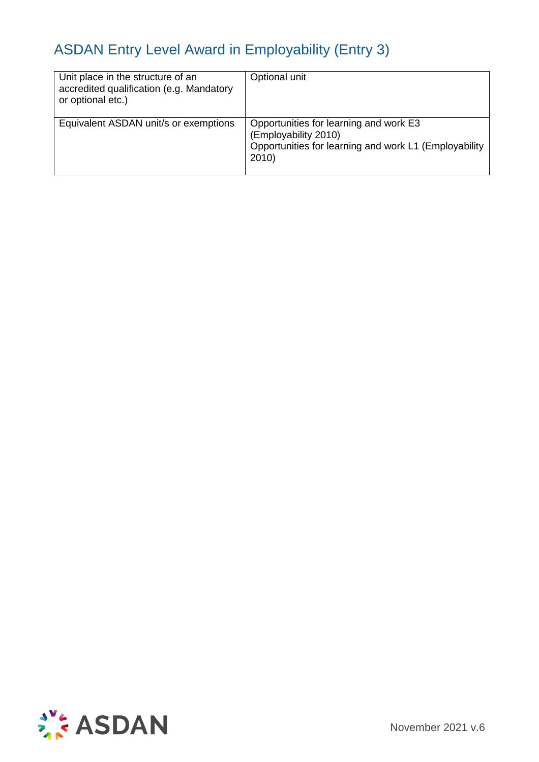| Unit place in the structure of an<br>accredited qualification (e.g. Mandatory<br>or optional etc.) | Optional unit                                                                                                                   |
|----------------------------------------------------------------------------------------------------|---------------------------------------------------------------------------------------------------------------------------------|
| Equivalent ASDAN unit/s or exemptions                                                              | Opportunities for learning and work E3<br>(Employability 2010)<br>Opportunities for learning and work L1 (Employability<br>2010 |

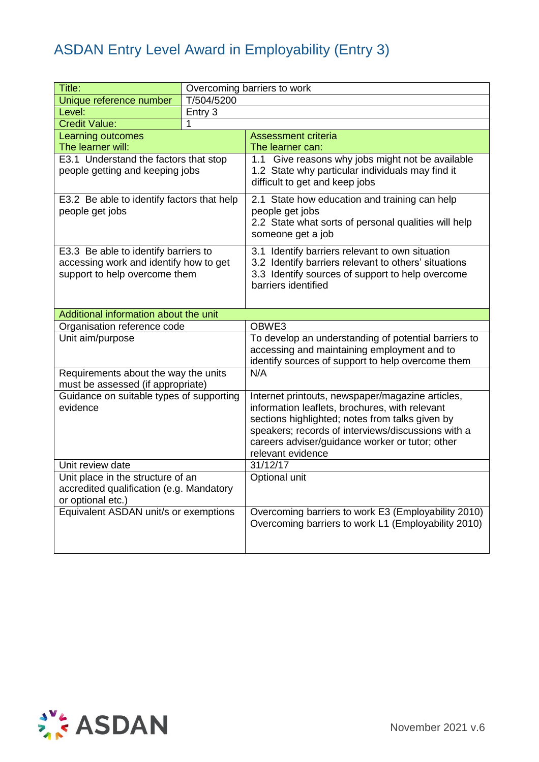| Title:                                                                                                          |            | Overcoming barriers to work                                                                                                                                                                                                                                                         |
|-----------------------------------------------------------------------------------------------------------------|------------|-------------------------------------------------------------------------------------------------------------------------------------------------------------------------------------------------------------------------------------------------------------------------------------|
| Unique reference number                                                                                         | T/504/5200 |                                                                                                                                                                                                                                                                                     |
| Level:                                                                                                          | Entry 3    |                                                                                                                                                                                                                                                                                     |
| <b>Credit Value:</b>                                                                                            |            |                                                                                                                                                                                                                                                                                     |
| <b>Learning outcomes</b>                                                                                        |            | <b>Assessment criteria</b>                                                                                                                                                                                                                                                          |
| The learner will:                                                                                               |            | The learner can:                                                                                                                                                                                                                                                                    |
| E3.1 Understand the factors that stop<br>people getting and keeping jobs                                        |            | 1.1 Give reasons why jobs might not be available<br>1.2 State why particular individuals may find it<br>difficult to get and keep jobs                                                                                                                                              |
| E3.2 Be able to identify factors that help<br>people get jobs                                                   |            | 2.1 State how education and training can help<br>people get jobs<br>2.2 State what sorts of personal qualities will help<br>someone get a job                                                                                                                                       |
| E3.3 Be able to identify barriers to<br>accessing work and identify how to get<br>support to help overcome them |            | 3.1 Identify barriers relevant to own situation<br>3.2 Identify barriers relevant to others' situations<br>3.3 Identify sources of support to help overcome<br>barriers identified                                                                                                  |
| Additional information about the unit                                                                           |            |                                                                                                                                                                                                                                                                                     |
| Organisation reference code                                                                                     |            | OBWE3                                                                                                                                                                                                                                                                               |
| Unit aim/purpose                                                                                                |            | To develop an understanding of potential barriers to<br>accessing and maintaining employment and to<br>identify sources of support to help overcome them                                                                                                                            |
| Requirements about the way the units<br>must be assessed (if appropriate)                                       |            | N/A                                                                                                                                                                                                                                                                                 |
| Guidance on suitable types of supporting<br>evidence                                                            |            | Internet printouts, newspaper/magazine articles,<br>information leaflets, brochures, with relevant<br>sections highlighted; notes from talks given by<br>speakers; records of interviews/discussions with a<br>careers adviser/guidance worker or tutor; other<br>relevant evidence |
| Unit review date                                                                                                |            | 31/12/17                                                                                                                                                                                                                                                                            |
| Unit place in the structure of an<br>accredited qualification (e.g. Mandatory<br>or optional etc.)              |            | Optional unit                                                                                                                                                                                                                                                                       |
| Equivalent ASDAN unit/s or exemptions                                                                           |            | Overcoming barriers to work E3 (Employability 2010)<br>Overcoming barriers to work L1 (Employability 2010)                                                                                                                                                                          |

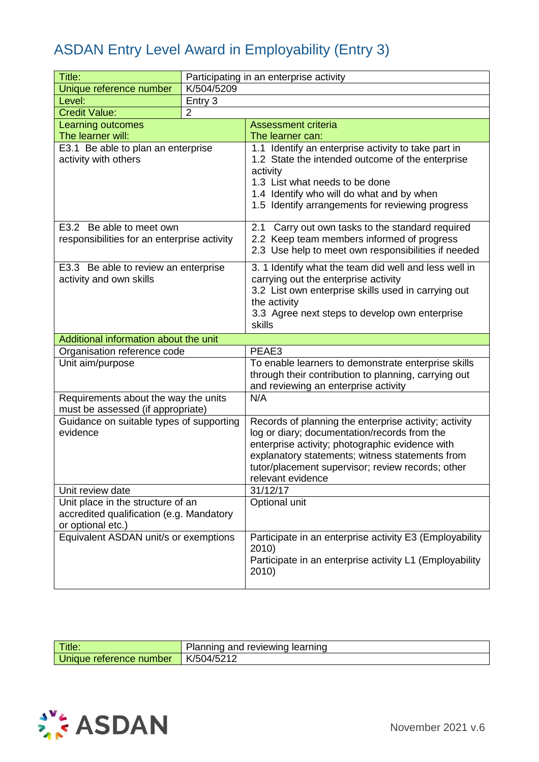| Title:                                                     |                | Participating in an enterprise activity                                                                 |
|------------------------------------------------------------|----------------|---------------------------------------------------------------------------------------------------------|
| Unique reference number                                    | K/504/5209     |                                                                                                         |
| Level:                                                     | Entry 3        |                                                                                                         |
| <b>Credit Value:</b>                                       | $\overline{2}$ |                                                                                                         |
| Learning outcomes                                          |                | <b>Assessment criteria</b>                                                                              |
| The learner will:                                          |                | The learner can:                                                                                        |
| E3.1 Be able to plan an enterprise<br>activity with others |                | 1.1 Identify an enterprise activity to take part in<br>1.2 State the intended outcome of the enterprise |
|                                                            |                | activity                                                                                                |
|                                                            |                | 1.3 List what needs to be done                                                                          |
|                                                            |                | 1.4 Identify who will do what and by when                                                               |
|                                                            |                | 1.5 Identify arrangements for reviewing progress                                                        |
| E3.2 Be able to meet own                                   |                | 2.1<br>Carry out own tasks to the standard required                                                     |
| responsibilities for an enterprise activity                |                | 2.2 Keep team members informed of progress                                                              |
|                                                            |                | 2.3 Use help to meet own responsibilities if needed                                                     |
| E3.3 Be able to review an enterprise                       |                | 3. 1 Identify what the team did well and less well in                                                   |
| activity and own skills                                    |                | carrying out the enterprise activity                                                                    |
|                                                            |                | 3.2 List own enterprise skills used in carrying out                                                     |
|                                                            |                | the activity                                                                                            |
|                                                            |                | 3.3 Agree next steps to develop own enterprise                                                          |
|                                                            |                | skills                                                                                                  |
| Additional information about the unit                      |                |                                                                                                         |
|                                                            |                |                                                                                                         |
| Organisation reference code                                |                | PEAE3                                                                                                   |
| Unit aim/purpose                                           |                | To enable learners to demonstrate enterprise skills                                                     |
|                                                            |                | through their contribution to planning, carrying out                                                    |
|                                                            |                | and reviewing an enterprise activity                                                                    |
| Requirements about the way the units                       |                | N/A                                                                                                     |
| must be assessed (if appropriate)                          |                |                                                                                                         |
| Guidance on suitable types of supporting<br>evidence       |                | Records of planning the enterprise activity; activity                                                   |
|                                                            |                | log or diary; documentation/records from the                                                            |
|                                                            |                | enterprise activity; photographic evidence with<br>explanatory statements; witness statements from      |
|                                                            |                | tutor/placement supervisor; review records; other                                                       |
|                                                            |                | relevant evidence                                                                                       |
| Unit review date                                           |                | 31/12/17                                                                                                |
| Unit place in the structure of an                          |                | Optional unit                                                                                           |
| accredited qualification (e.g. Mandatory                   |                |                                                                                                         |
| or optional etc.)                                          |                |                                                                                                         |
| Equivalent ASDAN unit/s or exemptions                      |                | Participate in an enterprise activity E3 (Employability                                                 |
|                                                            |                | 2010)                                                                                                   |
|                                                            |                | Participate in an enterprise activity L1 (Employability<br>2010)                                        |

| Title.                             | reviewind<br>learning<br>lannıng and |
|------------------------------------|--------------------------------------|
| <b>Jnique</b><br>⊧reference number | K/M/4/5                              |

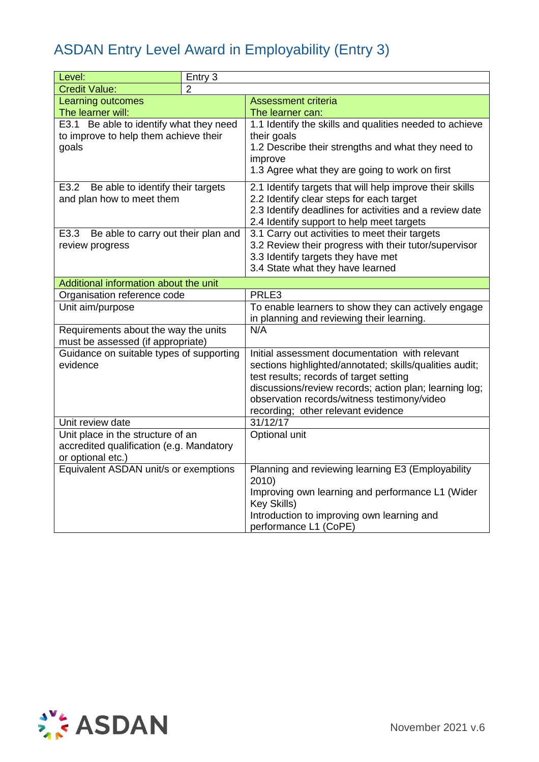| Level:                                                                    | Entry 3 |                                                                        |
|---------------------------------------------------------------------------|---------|------------------------------------------------------------------------|
| <b>Credit Value:</b>                                                      | 2       |                                                                        |
| Learning outcomes                                                         |         | <b>Assessment criteria</b>                                             |
| The learner will:                                                         |         | The learner can:                                                       |
| E3.1 Be able to identify what they need                                   |         | 1.1 Identify the skills and qualities needed to achieve                |
| to improve to help them achieve their                                     |         | their goals                                                            |
| goals                                                                     |         | 1.2 Describe their strengths and what they need to                     |
|                                                                           |         | improve                                                                |
|                                                                           |         | 1.3 Agree what they are going to work on first                         |
| Be able to identify their targets<br>E3.2                                 |         | 2.1 Identify targets that will help improve their skills               |
| and plan how to meet them                                                 |         | 2.2 Identify clear steps for each target                               |
|                                                                           |         | 2.3 Identify deadlines for activities and a review date                |
|                                                                           |         | 2.4 Identify support to help meet targets                              |
| E3.3 Be able to carry out their plan and                                  |         | 3.1 Carry out activities to meet their targets                         |
| review progress                                                           |         | 3.2 Review their progress with their tutor/supervisor                  |
|                                                                           |         | 3.3 Identify targets they have met<br>3.4 State what they have learned |
|                                                                           |         |                                                                        |
| Additional information about the unit                                     |         |                                                                        |
| Organisation reference code                                               |         | PRLE3                                                                  |
| Unit aim/purpose                                                          |         | To enable learners to show they can actively engage                    |
|                                                                           |         | in planning and reviewing their learning.<br>N/A                       |
| Requirements about the way the units<br>must be assessed (if appropriate) |         |                                                                        |
| Guidance on suitable types of supporting                                  |         | Initial assessment documentation with relevant                         |
| evidence                                                                  |         | sections highlighted/annotated; skills/qualities audit;                |
|                                                                           |         | test results; records of target setting                                |
|                                                                           |         | discussions/review records; action plan; learning log;                 |
|                                                                           |         | observation records/witness testimony/video                            |
|                                                                           |         | recording; other relevant evidence                                     |
| Unit review date                                                          |         | 31/12/17                                                               |
| Unit place in the structure of an                                         |         | <b>Optional unit</b>                                                   |
| accredited qualification (e.g. Mandatory                                  |         |                                                                        |
| or optional etc.)                                                         |         |                                                                        |
| Equivalent ASDAN unit/s or exemptions                                     |         | Planning and reviewing learning E3 (Employability<br>2010)             |
|                                                                           |         | Improving own learning and performance L1 (Wider<br>Key Skills)        |
|                                                                           |         | Introduction to improving own learning and                             |
|                                                                           |         | performance L1 (CoPE)                                                  |

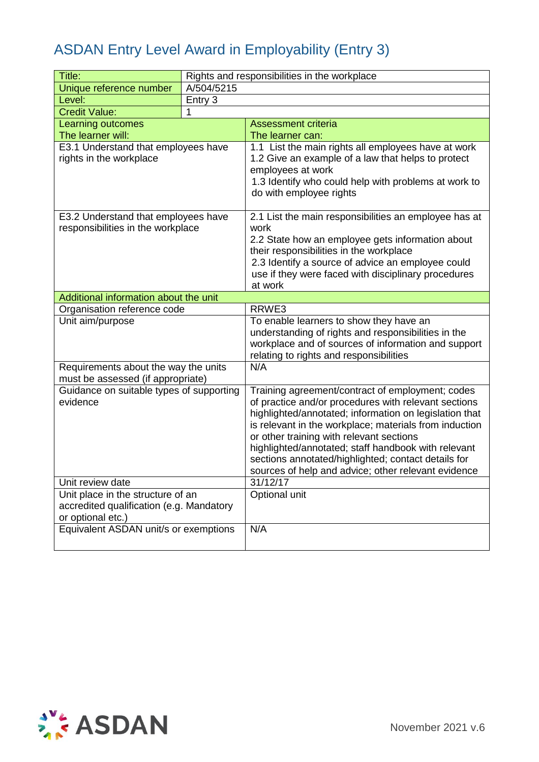| Title:                                                                   |            | Rights and responsibilities in the workplace                                                               |
|--------------------------------------------------------------------------|------------|------------------------------------------------------------------------------------------------------------|
| Unique reference number                                                  | A/504/5215 |                                                                                                            |
| Level:                                                                   | Entry 3    |                                                                                                            |
| <b>Credit Value:</b>                                                     | 1          |                                                                                                            |
| Learning outcomes                                                        |            | <b>Assessment criteria</b>                                                                                 |
| The learner will:                                                        |            | The learner can:                                                                                           |
| E3.1 Understand that employees have<br>rights in the workplace           |            | 1.1 List the main rights all employees have at work<br>1.2 Give an example of a law that helps to protect  |
|                                                                          |            | employees at work                                                                                          |
|                                                                          |            | 1.3 Identify who could help with problems at work to<br>do with employee rights                            |
| E3.2 Understand that employees have<br>responsibilities in the workplace |            | 2.1 List the main responsibilities an employee has at<br>work                                              |
|                                                                          |            | 2.2 State how an employee gets information about                                                           |
|                                                                          |            | their responsibilities in the workplace<br>2.3 Identify a source of advice an employee could               |
|                                                                          |            | use if they were faced with disciplinary procedures                                                        |
|                                                                          |            | at work                                                                                                    |
| Additional information about the unit                                    |            |                                                                                                            |
| Organisation reference code                                              |            | RRWE3                                                                                                      |
| Unit aim/purpose                                                         |            | To enable learners to show they have an                                                                    |
|                                                                          |            | understanding of rights and responsibilities in the                                                        |
|                                                                          |            | workplace and of sources of information and support                                                        |
| Requirements about the way the units                                     |            | relating to rights and responsibilities<br>N/A                                                             |
| must be assessed (if appropriate)                                        |            |                                                                                                            |
| Guidance on suitable types of supporting                                 |            | Training agreement/contract of employment; codes                                                           |
| evidence                                                                 |            | of practice and/or procedures with relevant sections                                                       |
|                                                                          |            | highlighted/annotated; information on legislation that                                                     |
|                                                                          |            | is relevant in the workplace; materials from induction                                                     |
|                                                                          |            | or other training with relevant sections                                                                   |
|                                                                          |            | highlighted/annotated; staff handbook with relevant<br>sections annotated/highlighted; contact details for |
|                                                                          |            | sources of help and advice; other relevant evidence                                                        |
| Unit review date                                                         |            | 31/12/17                                                                                                   |
| Unit place in the structure of an                                        |            | Optional unit                                                                                              |
| accredited qualification (e.g. Mandatory                                 |            |                                                                                                            |
| or optional etc.)                                                        |            |                                                                                                            |
| Equivalent ASDAN unit/s or exemptions                                    |            | N/A                                                                                                        |
|                                                                          |            |                                                                                                            |

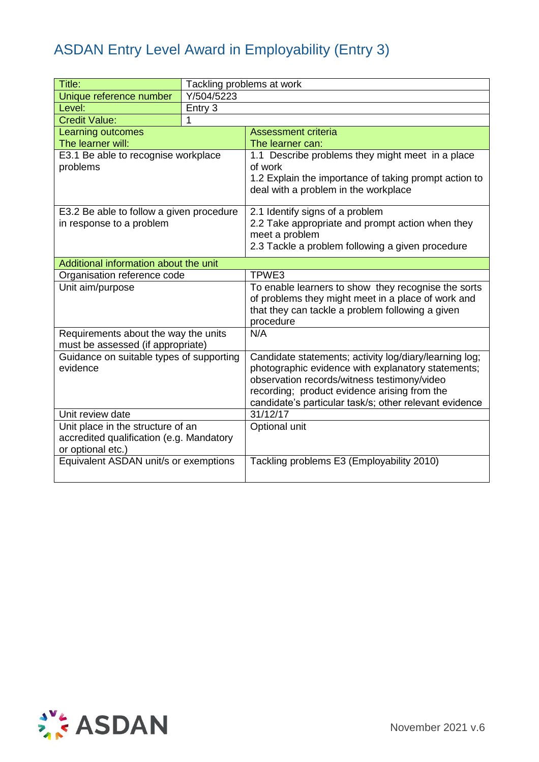| Title:                                               | Tackling problems at work |                                                                                                              |
|------------------------------------------------------|---------------------------|--------------------------------------------------------------------------------------------------------------|
| Unique reference number                              | Y/504/5223                |                                                                                                              |
| Level:                                               | Entry 3                   |                                                                                                              |
| <b>Credit Value:</b>                                 | 1                         |                                                                                                              |
| Learning outcomes                                    |                           | <b>Assessment criteria</b>                                                                                   |
| The learner will:                                    |                           | The learner can:                                                                                             |
| E3.1 Be able to recognise workplace                  |                           | 1.1 Describe problems they might meet in a place                                                             |
| problems                                             |                           | of work                                                                                                      |
|                                                      |                           | 1.2 Explain the importance of taking prompt action to<br>deal with a problem in the workplace                |
|                                                      |                           |                                                                                                              |
| E3.2 Be able to follow a given procedure             |                           | 2.1 Identify signs of a problem                                                                              |
| in response to a problem                             |                           | 2.2 Take appropriate and prompt action when they                                                             |
|                                                      |                           | meet a problem                                                                                               |
|                                                      |                           | 2.3 Tackle a problem following a given procedure                                                             |
| Additional information about the unit                |                           |                                                                                                              |
| Organisation reference code                          |                           | TPWE3                                                                                                        |
| Unit aim/purpose                                     |                           | To enable learners to show they recognise the sorts                                                          |
|                                                      |                           | of problems they might meet in a place of work and                                                           |
|                                                      |                           | that they can tackle a problem following a given                                                             |
|                                                      |                           | procedure                                                                                                    |
| Requirements about the way the units                 |                           | N/A                                                                                                          |
| must be assessed (if appropriate)                    |                           |                                                                                                              |
| Guidance on suitable types of supporting<br>evidence |                           | Candidate statements; activity log/diary/learning log;<br>photographic evidence with explanatory statements; |
|                                                      |                           | observation records/witness testimony/video                                                                  |
|                                                      |                           | recording; product evidence arising from the                                                                 |
|                                                      |                           | candidate's particular task/s; other relevant evidence                                                       |
| Unit review date                                     |                           | 31/12/17                                                                                                     |
| Unit place in the structure of an                    |                           | Optional unit                                                                                                |
| accredited qualification (e.g. Mandatory             |                           |                                                                                                              |
| or optional etc.)                                    |                           |                                                                                                              |
| Equivalent ASDAN unit/s or exemptions                |                           | Tackling problems E3 (Employability 2010)                                                                    |
|                                                      |                           |                                                                                                              |

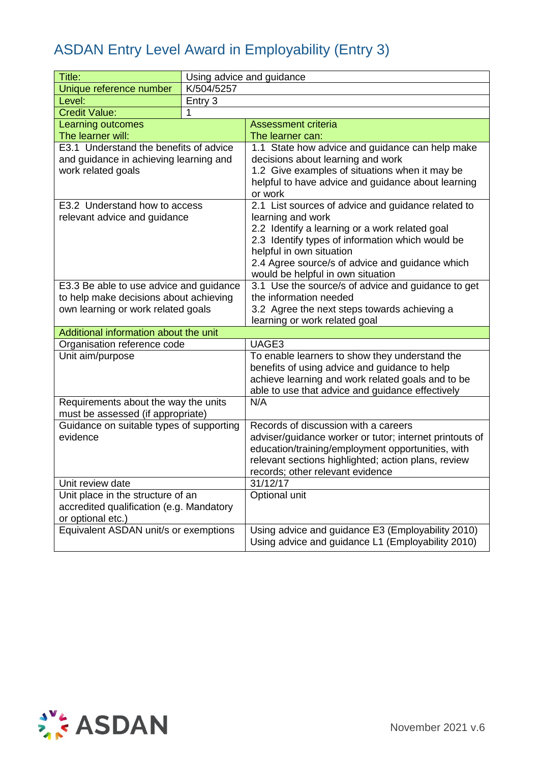| Title:                                   |            | Using advice and guidance                                           |
|------------------------------------------|------------|---------------------------------------------------------------------|
| Unique reference number                  | K/504/5257 |                                                                     |
| Level:                                   | Entry 3    |                                                                     |
| <b>Credit Value:</b>                     | 1          |                                                                     |
| Learning outcomes                        |            | <b>Assessment criteria</b>                                          |
| The learner will:                        |            | The learner can:                                                    |
| E3.1 Understand the benefits of advice   |            | 1.1 State how advice and guidance can help make                     |
| and guidance in achieving learning and   |            | decisions about learning and work                                   |
| work related goals                       |            | 1.2 Give examples of situations when it may be                      |
|                                          |            | helpful to have advice and guidance about learning                  |
|                                          |            | or work                                                             |
| E3.2 Understand how to access            |            | 2.1 List sources of advice and guidance related to                  |
| relevant advice and guidance             |            | learning and work<br>2.2 Identify a learning or a work related goal |
|                                          |            | 2.3 Identify types of information which would be                    |
|                                          |            | helpful in own situation                                            |
|                                          |            | 2.4 Agree source/s of advice and guidance which                     |
|                                          |            | would be helpful in own situation                                   |
| E3.3 Be able to use advice and guidance  |            | 3.1 Use the source/s of advice and guidance to get                  |
| to help make decisions about achieving   |            | the information needed                                              |
| own learning or work related goals       |            | 3.2 Agree the next steps towards achieving a                        |
|                                          |            | learning or work related goal                                       |
| Additional information about the unit    |            |                                                                     |
| Organisation reference code              |            | UAGE3                                                               |
| Unit aim/purpose                         |            | To enable learners to show they understand the                      |
|                                          |            | benefits of using advice and guidance to help                       |
|                                          |            | achieve learning and work related goals and to be                   |
| Requirements about the way the units     |            | able to use that advice and guidance effectively<br>N/A             |
| must be assessed (if appropriate)        |            |                                                                     |
| Guidance on suitable types of supporting |            | Records of discussion with a careers                                |
| evidence                                 |            | adviser/guidance worker or tutor; internet printouts of             |
|                                          |            | education/training/employment opportunities, with                   |
|                                          |            | relevant sections highlighted; action plans, review                 |
|                                          |            | records; other relevant evidence                                    |
| Unit review date                         |            | 31/12/17                                                            |
| Unit place in the structure of an        |            | Optional unit                                                       |
| accredited qualification (e.g. Mandatory |            |                                                                     |
| or optional etc.)                        |            |                                                                     |
| Equivalent ASDAN unit/s or exemptions    |            | Using advice and guidance E3 (Employability 2010)                   |
|                                          |            | Using advice and guidance L1 (Employability 2010)                   |

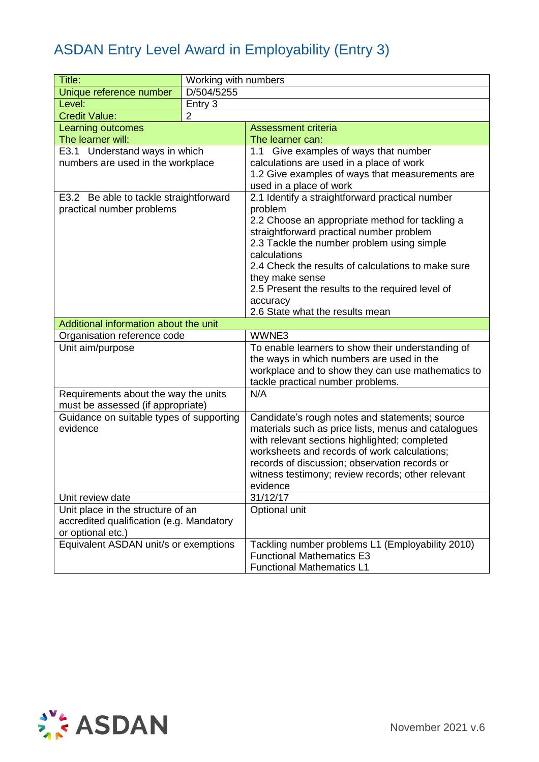| Title:                                   | Working with numbers |                                                                     |
|------------------------------------------|----------------------|---------------------------------------------------------------------|
| Unique reference number                  | D/504/5255           |                                                                     |
| Level:                                   | Entry 3              |                                                                     |
| <b>Credit Value:</b>                     | $\overline{2}$       |                                                                     |
| Learning outcomes                        |                      | <b>Assessment criteria</b>                                          |
| The learner will:                        |                      | The learner can:                                                    |
| E3.1 Understand ways in which            |                      | 1.1 Give examples of ways that number                               |
| numbers are used in the workplace        |                      | calculations are used in a place of work                            |
|                                          |                      | 1.2 Give examples of ways that measurements are                     |
|                                          |                      | used in a place of work                                             |
| E3.2 Be able to tackle straightforward   |                      | 2.1 Identify a straightforward practical number                     |
| practical number problems                |                      | problem                                                             |
|                                          |                      | 2.2 Choose an appropriate method for tackling a                     |
|                                          |                      | straightforward practical number problem                            |
|                                          |                      | 2.3 Tackle the number problem using simple                          |
|                                          |                      | calculations<br>2.4 Check the results of calculations to make sure  |
|                                          |                      |                                                                     |
|                                          |                      | they make sense<br>2.5 Present the results to the required level of |
|                                          |                      | accuracy                                                            |
|                                          |                      | 2.6 State what the results mean                                     |
| Additional information about the unit    |                      |                                                                     |
| Organisation reference code              |                      | WWNE3                                                               |
| Unit aim/purpose                         |                      | To enable learners to show their understanding of                   |
|                                          |                      | the ways in which numbers are used in the                           |
|                                          |                      | workplace and to show they can use mathematics to                   |
|                                          |                      | tackle practical number problems.                                   |
| Requirements about the way the units     |                      | N/A                                                                 |
| must be assessed (if appropriate)        |                      |                                                                     |
| Guidance on suitable types of supporting |                      | Candidate's rough notes and statements; source                      |
| evidence                                 |                      | materials such as price lists, menus and catalogues                 |
|                                          |                      | with relevant sections highlighted; completed                       |
|                                          |                      | worksheets and records of work calculations;                        |
|                                          |                      | records of discussion; observation records or                       |
|                                          |                      | witness testimony; review records; other relevant                   |
|                                          |                      | evidence                                                            |
| Unit review date                         |                      | 31/12/17                                                            |
| Unit place in the structure of an        |                      | Optional unit                                                       |
| accredited qualification (e.g. Mandatory |                      |                                                                     |
| or optional etc.)                        |                      | Tackling number problems L1 (Employability 2010)                    |
| Equivalent ASDAN unit/s or exemptions    |                      | <b>Functional Mathematics E3</b>                                    |
|                                          |                      | <b>Functional Mathematics L1</b>                                    |
|                                          |                      |                                                                     |

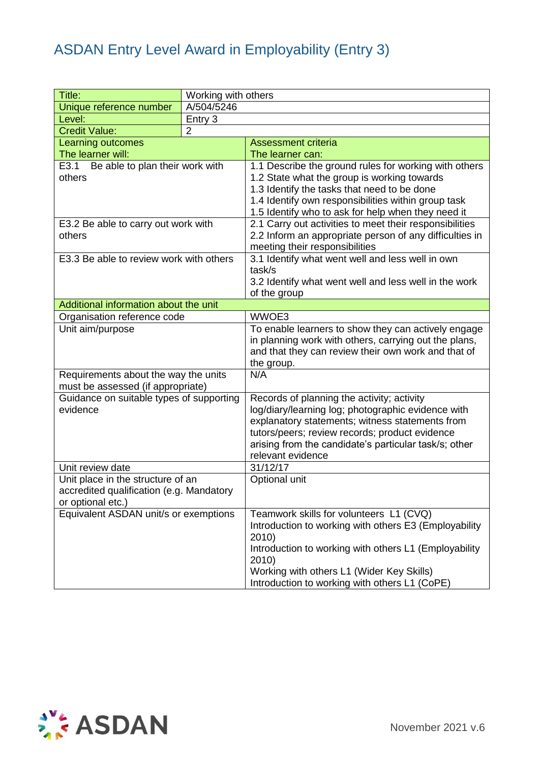| Title:                                         | Working with others |                                                                                                              |  |  |
|------------------------------------------------|---------------------|--------------------------------------------------------------------------------------------------------------|--|--|
| Unique reference number                        | A/504/5246          |                                                                                                              |  |  |
| Level:                                         | Entry 3             |                                                                                                              |  |  |
| <b>Credit Value:</b>                           | $\overline{2}$      |                                                                                                              |  |  |
| Learning outcomes                              |                     | <b>Assessment criteria</b>                                                                                   |  |  |
| The learner will:                              |                     | The learner can:                                                                                             |  |  |
| E3.1 Be able to plan their work with<br>others |                     | 1.1 Describe the ground rules for working with others                                                        |  |  |
|                                                |                     | 1.2 State what the group is working towards                                                                  |  |  |
|                                                |                     | 1.3 Identify the tasks that need to be done                                                                  |  |  |
|                                                |                     | 1.4 Identify own responsibilities within group task                                                          |  |  |
|                                                |                     | 1.5 Identify who to ask for help when they need it                                                           |  |  |
| E3.2 Be able to carry out work with            |                     | 2.1 Carry out activities to meet their responsibilities                                                      |  |  |
| others                                         |                     | 2.2 Inform an appropriate person of any difficulties in                                                      |  |  |
|                                                |                     | meeting their responsibilities                                                                               |  |  |
| E3.3 Be able to review work with others        |                     | 3.1 Identify what went well and less well in own                                                             |  |  |
|                                                |                     | task/s                                                                                                       |  |  |
|                                                |                     | 3.2 Identify what went well and less well in the work                                                        |  |  |
|                                                |                     | of the group                                                                                                 |  |  |
| Additional information about the unit          |                     | WWOE3                                                                                                        |  |  |
| Organisation reference code                    |                     |                                                                                                              |  |  |
| Unit aim/purpose                               |                     | To enable learners to show they can actively engage<br>in planning work with others, carrying out the plans, |  |  |
|                                                |                     | and that they can review their own work and that of                                                          |  |  |
|                                                |                     | the group.                                                                                                   |  |  |
| Requirements about the way the units           |                     | N/A                                                                                                          |  |  |
| must be assessed (if appropriate)              |                     |                                                                                                              |  |  |
| Guidance on suitable types of supporting       |                     | Records of planning the activity; activity                                                                   |  |  |
| evidence                                       |                     | log/diary/learning log; photographic evidence with                                                           |  |  |
|                                                |                     | explanatory statements; witness statements from                                                              |  |  |
|                                                |                     | tutors/peers; review records; product evidence                                                               |  |  |
|                                                |                     | arising from the candidate's particular task/s; other                                                        |  |  |
|                                                |                     | relevant evidence                                                                                            |  |  |
| Unit review date                               |                     | 31/12/17                                                                                                     |  |  |
| Unit place in the structure of an              |                     | Optional unit                                                                                                |  |  |
| accredited qualification (e.g. Mandatory       |                     |                                                                                                              |  |  |
| or optional etc.)                              |                     |                                                                                                              |  |  |
| Equivalent ASDAN unit/s or exemptions          |                     | Teamwork skills for volunteers L1 (CVQ)                                                                      |  |  |
|                                                |                     | Introduction to working with others E3 (Employability                                                        |  |  |
|                                                |                     | 2010)                                                                                                        |  |  |
|                                                |                     | Introduction to working with others L1 (Employability                                                        |  |  |
|                                                |                     | 2010)                                                                                                        |  |  |
|                                                |                     | Working with others L1 (Wider Key Skills)                                                                    |  |  |
|                                                |                     | Introduction to working with others L1 (CoPE)                                                                |  |  |

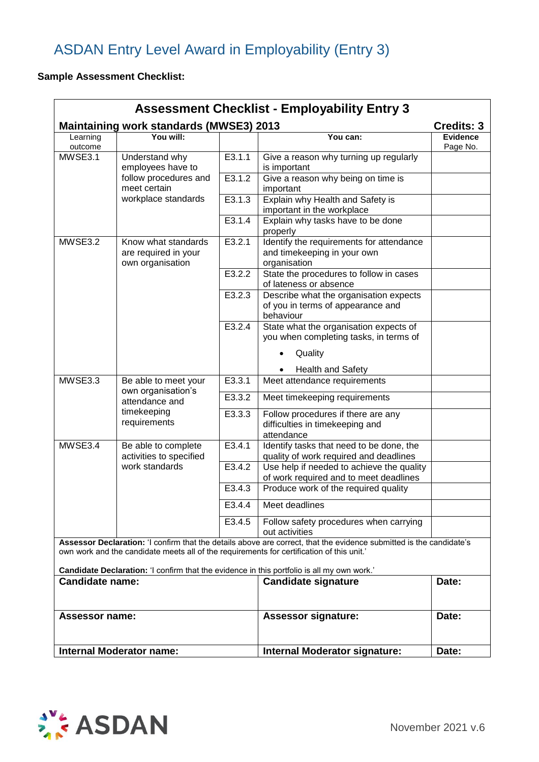### **Sample Assessment Checklist:**

| <b>Assessment Checklist - Employability Entry 3</b>                                                                  |                                                |                                                                                         |                                                                                                                                                                                                                  |                             |  |
|----------------------------------------------------------------------------------------------------------------------|------------------------------------------------|-----------------------------------------------------------------------------------------|------------------------------------------------------------------------------------------------------------------------------------------------------------------------------------------------------------------|-----------------------------|--|
| <b>Maintaining work standards (MWSE3) 2013</b><br><b>Credits: 3</b>                                                  |                                                |                                                                                         |                                                                                                                                                                                                                  |                             |  |
| Learning<br>outcome                                                                                                  | You will:                                      |                                                                                         | You can:                                                                                                                                                                                                         | <b>Evidence</b><br>Page No. |  |
| MWSE3.1<br>Understand why<br>employees have to<br>follow procedures and<br>meet certain<br>workplace standards       |                                                | E3.1.1                                                                                  | Give a reason why turning up regularly<br>is important                                                                                                                                                           |                             |  |
|                                                                                                                      | E3.1.2                                         | Give a reason why being on time is<br>important                                         |                                                                                                                                                                                                                  |                             |  |
|                                                                                                                      | E3.1.3                                         | Explain why Health and Safety is<br>important in the workplace                          |                                                                                                                                                                                                                  |                             |  |
|                                                                                                                      |                                                | E3.1.4                                                                                  | Explain why tasks have to be done<br>properly                                                                                                                                                                    |                             |  |
| MWSE3.2<br>Know what standards<br>are required in your<br>own organisation                                           | E3.2.1                                         | Identify the requirements for attendance<br>and timekeeping in your own<br>organisation |                                                                                                                                                                                                                  |                             |  |
|                                                                                                                      |                                                | $\overline{E3.2.2}$                                                                     | State the procedures to follow in cases<br>of lateness or absence                                                                                                                                                |                             |  |
|                                                                                                                      |                                                | E3.2.3                                                                                  | Describe what the organisation expects<br>of you in terms of appearance and<br>behaviour                                                                                                                         |                             |  |
|                                                                                                                      | E3.2.4                                         | State what the organisation expects of<br>you when completing tasks, in terms of        |                                                                                                                                                                                                                  |                             |  |
|                                                                                                                      |                                                | Quality                                                                                 |                                                                                                                                                                                                                  |                             |  |
|                                                                                                                      |                                                |                                                                                         | <b>Health and Safety</b>                                                                                                                                                                                         |                             |  |
| MWSE3.3                                                                                                              | Be able to meet your<br>own organisation's     | E3.3.1                                                                                  | Meet attendance requirements                                                                                                                                                                                     |                             |  |
| timekeeping                                                                                                          | attendance and                                 | E3.3.2                                                                                  | Meet timekeeping requirements                                                                                                                                                                                    |                             |  |
|                                                                                                                      | requirements                                   | E3.3.3                                                                                  | Follow procedures if there are any<br>difficulties in timekeeping and<br>attendance                                                                                                                              |                             |  |
| MWSE3.4                                                                                                              | Be able to complete<br>activities to specified | E3.4.1                                                                                  | Identify tasks that need to be done, the<br>quality of work required and deadlines                                                                                                                               |                             |  |
| work standards                                                                                                       |                                                | E3.4.2                                                                                  | Use help if needed to achieve the quality<br>of work required and to meet deadlines                                                                                                                              |                             |  |
|                                                                                                                      |                                                | E3.4.3                                                                                  | Produce work of the required quality                                                                                                                                                                             |                             |  |
|                                                                                                                      |                                                | $\overline{E3.4.4}$                                                                     | Meet deadlines                                                                                                                                                                                                   |                             |  |
|                                                                                                                      | E3.4.5                                         | Follow safety procedures when carrying<br>out activities                                |                                                                                                                                                                                                                  |                             |  |
|                                                                                                                      |                                                |                                                                                         | Assessor Declaration: 'I confirm that the details above are correct, that the evidence submitted is the candidate's<br>own work and the candidate meets all of the requirements for certification of this unit.' |                             |  |
| Candidate Declaration: 'I confirm that the evidence in this portfolio is all my own work.'<br><b>Candidate name:</b> |                                                | <b>Candidate signature</b>                                                              | Date:                                                                                                                                                                                                            |                             |  |
| <b>Assessor name:</b>                                                                                                |                                                | <b>Assessor signature:</b>                                                              | Date:                                                                                                                                                                                                            |                             |  |
|                                                                                                                      | <b>Internal Moderator name:</b>                |                                                                                         | <b>Internal Moderator signature:</b>                                                                                                                                                                             | Date:                       |  |
|                                                                                                                      |                                                |                                                                                         |                                                                                                                                                                                                                  |                             |  |